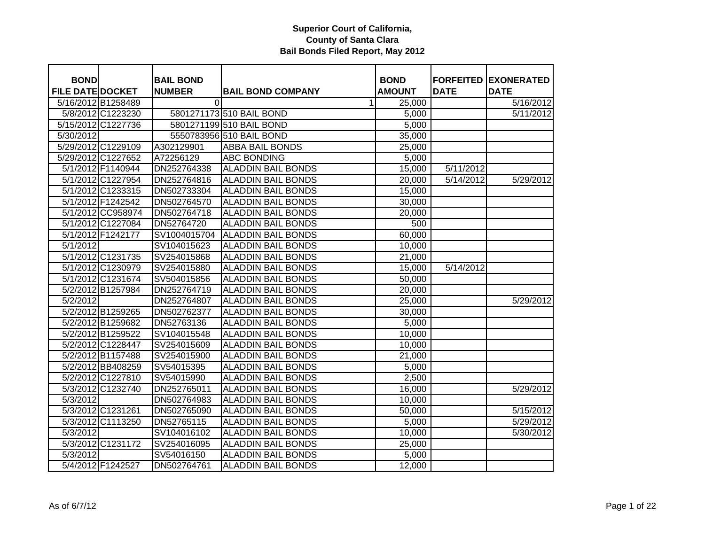| <b>BOND</b>             |                    | <b>BAIL BOND</b> |                           | <b>BOND</b>   |             | <b>FORFEITED EXONERATED</b> |
|-------------------------|--------------------|------------------|---------------------------|---------------|-------------|-----------------------------|
| <b>FILE DATE DOCKET</b> |                    | <b>NUMBER</b>    | <b>BAIL BOND COMPANY</b>  | <b>AMOUNT</b> | <b>DATE</b> | <b>DATE</b>                 |
| 5/16/2012 B1258489      |                    | $\Omega$         | 1                         | 25,000        |             | 5/16/2012                   |
|                         | 5/8/2012 C1223230  |                  | 5801271173 510 BAIL BOND  | 5,000         |             | 5/11/2012                   |
|                         | 5/15/2012 C1227736 |                  | 5801271199 510 BAIL BOND  | 5,000         |             |                             |
| 5/30/2012               |                    |                  | 5550783956 510 BAIL BOND  | 35,000        |             |                             |
|                         | 5/29/2012 C1229109 | A302129901       | <b>ABBA BAIL BONDS</b>    | 25,000        |             |                             |
|                         | 5/29/2012 C1227652 | A72256129        | <b>ABC BONDING</b>        | 5,000         |             |                             |
|                         | 5/1/2012 F1140944  | DN252764338      | <b>ALADDIN BAIL BONDS</b> | 15,000        | 5/11/2012   |                             |
|                         | 5/1/2012 C1227954  | DN252764816      | <b>ALADDIN BAIL BONDS</b> | 20,000        | 5/14/2012   | 5/29/2012                   |
|                         | 5/1/2012 C1233315  | DN502733304      | <b>ALADDIN BAIL BONDS</b> | 15,000        |             |                             |
|                         | 5/1/2012 F1242542  | DN502764570      | <b>ALADDIN BAIL BONDS</b> | 30,000        |             |                             |
|                         | 5/1/2012 CC958974  | DN502764718      | <b>ALADDIN BAIL BONDS</b> | 20,000        |             |                             |
|                         | 5/1/2012 C1227084  | DN52764720       | <b>ALADDIN BAIL BONDS</b> | 500           |             |                             |
|                         | 5/1/2012 F1242177  | SV1004015704     | <b>ALADDIN BAIL BONDS</b> | 60,000        |             |                             |
| 5/1/2012                |                    | SV104015623      | <b>ALADDIN BAIL BONDS</b> | 10,000        |             |                             |
|                         | 5/1/2012 C1231735  | SV254015868      | <b>ALADDIN BAIL BONDS</b> | 21,000        |             |                             |
|                         | 5/1/2012 C1230979  | SV254015880      | <b>ALADDIN BAIL BONDS</b> | 15,000        | 5/14/2012   |                             |
|                         | 5/1/2012 C1231674  | SV504015856      | <b>ALADDIN BAIL BONDS</b> | 50,000        |             |                             |
|                         | 5/2/2012 B1257984  | DN252764719      | <b>ALADDIN BAIL BONDS</b> | 20,000        |             |                             |
| 5/2/2012                |                    | DN252764807      | <b>ALADDIN BAIL BONDS</b> | 25,000        |             | 5/29/2012                   |
|                         | 5/2/2012 B1259265  | DN502762377      | <b>ALADDIN BAIL BONDS</b> | 30,000        |             |                             |
|                         | 5/2/2012 B1259682  | DN52763136       | <b>ALADDIN BAIL BONDS</b> | 5,000         |             |                             |
|                         | 5/2/2012 B1259522  | SV104015548      | <b>ALADDIN BAIL BONDS</b> | 10,000        |             |                             |
|                         | 5/2/2012 C1228447  | SV254015609      | <b>ALADDIN BAIL BONDS</b> | 10,000        |             |                             |
|                         | 5/2/2012 B1157488  | SV254015900      | <b>ALADDIN BAIL BONDS</b> | 21,000        |             |                             |
|                         | 5/2/2012 BB408259  | SV54015395       | <b>ALADDIN BAIL BONDS</b> | 5,000         |             |                             |
|                         | 5/2/2012 C1227810  | SV54015990       | <b>ALADDIN BAIL BONDS</b> | 2,500         |             |                             |
|                         | 5/3/2012 C1232740  | DN252765011      | <b>ALADDIN BAIL BONDS</b> | 16,000        |             | 5/29/2012                   |
| 5/3/2012                |                    | DN502764983      | <b>ALADDIN BAIL BONDS</b> | 10,000        |             |                             |
|                         | 5/3/2012 C1231261  | DN502765090      | <b>ALADDIN BAIL BONDS</b> | 50,000        |             | 5/15/2012                   |
|                         | 5/3/2012 C1113250  | DN52765115       | <b>ALADDIN BAIL BONDS</b> | 5,000         |             | 5/29/2012                   |
| 5/3/2012                |                    | SV104016102      | <b>ALADDIN BAIL BONDS</b> | 10,000        |             | 5/30/2012                   |
|                         | 5/3/2012 C1231172  | SV254016095      | <b>ALADDIN BAIL BONDS</b> | 25,000        |             |                             |
| 5/3/2012                |                    | SV54016150       | <b>ALADDIN BAIL BONDS</b> | 5,000         |             |                             |
|                         | 5/4/2012 F1242527  | DN502764761      | <b>ALADDIN BAIL BONDS</b> | 12,000        |             |                             |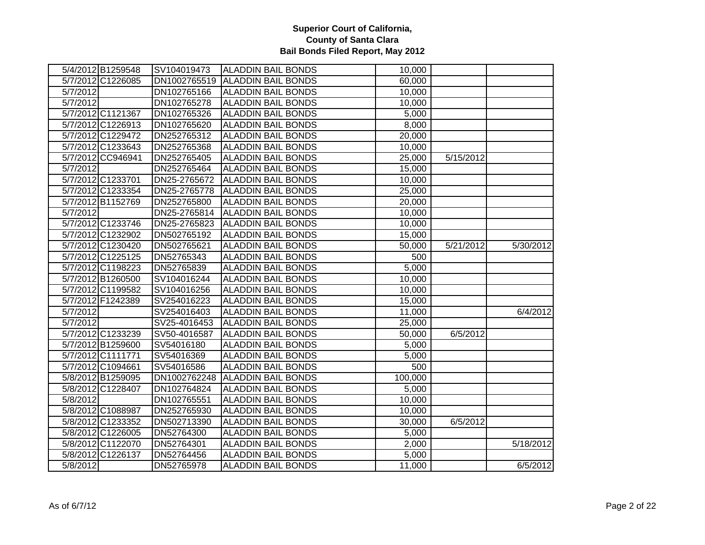|          | 5/4/2012 B1259548 | SV104019473  | <b>ALADDIN BAIL BONDS</b> | 10,000  |           |           |
|----------|-------------------|--------------|---------------------------|---------|-----------|-----------|
|          | 5/7/2012 C1226085 | DN1002765519 | <b>ALADDIN BAIL BONDS</b> | 60,000  |           |           |
| 5/7/2012 |                   | DN102765166  | <b>ALADDIN BAIL BONDS</b> | 10,000  |           |           |
| 5/7/2012 |                   | DN102765278  | <b>ALADDIN BAIL BONDS</b> | 10,000  |           |           |
|          | 5/7/2012 C1121367 | DN102765326  | <b>ALADDIN BAIL BONDS</b> | 5,000   |           |           |
|          | 5/7/2012 C1226913 | DN102765620  | <b>ALADDIN BAIL BONDS</b> | 8,000   |           |           |
|          | 5/7/2012 C1229472 | DN252765312  | <b>ALADDIN BAIL BONDS</b> | 20,000  |           |           |
|          | 5/7/2012 C1233643 | DN252765368  | <b>ALADDIN BAIL BONDS</b> | 10,000  |           |           |
|          | 5/7/2012 CC946941 | DN252765405  | <b>ALADDIN BAIL BONDS</b> | 25,000  | 5/15/2012 |           |
| 5/7/2012 |                   | DN252765464  | <b>ALADDIN BAIL BONDS</b> | 15,000  |           |           |
|          | 5/7/2012 C1233701 | DN25-2765672 | <b>ALADDIN BAIL BONDS</b> | 10,000  |           |           |
|          | 5/7/2012 C1233354 | DN25-2765778 | <b>ALADDIN BAIL BONDS</b> | 25,000  |           |           |
|          | 5/7/2012 B1152769 | DN252765800  | <b>ALADDIN BAIL BONDS</b> | 20,000  |           |           |
| 5/7/2012 |                   | DN25-2765814 | <b>ALADDIN BAIL BONDS</b> | 10,000  |           |           |
|          | 5/7/2012 C1233746 | DN25-2765823 | <b>ALADDIN BAIL BONDS</b> | 10,000  |           |           |
|          | 5/7/2012 C1232902 | DN502765192  | <b>ALADDIN BAIL BONDS</b> | 15,000  |           |           |
|          | 5/7/2012 C1230420 | DN502765621  | <b>ALADDIN BAIL BONDS</b> | 50,000  | 5/21/2012 | 5/30/2012 |
|          | 5/7/2012 C1225125 | DN52765343   | <b>ALADDIN BAIL BONDS</b> | 500     |           |           |
|          | 5/7/2012 C1198223 | DN52765839   | ALADDIN BAIL BONDS        | 5,000   |           |           |
|          | 5/7/2012 B1260500 | SV104016244  | <b>ALADDIN BAIL BONDS</b> | 10,000  |           |           |
|          | 5/7/2012 C1199582 | SV104016256  | <b>ALADDIN BAIL BONDS</b> | 10,000  |           |           |
|          | 5/7/2012 F1242389 | SV254016223  | <b>ALADDIN BAIL BONDS</b> | 15,000  |           |           |
| 5/7/2012 |                   | SV254016403  | <b>ALADDIN BAIL BONDS</b> | 11,000  |           | 6/4/2012  |
| 5/7/2012 |                   | SV25-4016453 | <b>ALADDIN BAIL BONDS</b> | 25,000  |           |           |
|          | 5/7/2012 C1233239 | SV50-4016587 | <b>ALADDIN BAIL BONDS</b> | 50,000  | 6/5/2012  |           |
|          | 5/7/2012 B1259600 | SV54016180   | <b>ALADDIN BAIL BONDS</b> | 5,000   |           |           |
|          | 5/7/2012 C1111771 | SV54016369   | <b>ALADDIN BAIL BONDS</b> | 5,000   |           |           |
|          | 5/7/2012 C1094661 | SV54016586   | <b>ALADDIN BAIL BONDS</b> | 500     |           |           |
|          | 5/8/2012 B1259095 | DN1002762248 | <b>ALADDIN BAIL BONDS</b> | 100,000 |           |           |
|          | 5/8/2012 C1228407 | DN102764824  | <b>ALADDIN BAIL BONDS</b> | 5,000   |           |           |
| 5/8/2012 |                   | DN102765551  | <b>ALADDIN BAIL BONDS</b> | 10,000  |           |           |
|          | 5/8/2012 C1088987 | DN252765930  | <b>ALADDIN BAIL BONDS</b> | 10,000  |           |           |
|          | 5/8/2012 C1233352 | DN502713390  | <b>ALADDIN BAIL BONDS</b> | 30,000  | 6/5/2012  |           |
|          | 5/8/2012 C1226005 | DN52764300   | <b>ALADDIN BAIL BONDS</b> | 5,000   |           |           |
|          | 5/8/2012 C1122070 | DN52764301   | <b>ALADDIN BAIL BONDS</b> | 2,000   |           | 5/18/2012 |
|          | 5/8/2012 C1226137 | DN52764456   | <b>ALADDIN BAIL BONDS</b> | 5,000   |           |           |
| 5/8/2012 |                   | DN52765978   | <b>ALADDIN BAIL BONDS</b> | 11,000  |           | 6/5/2012  |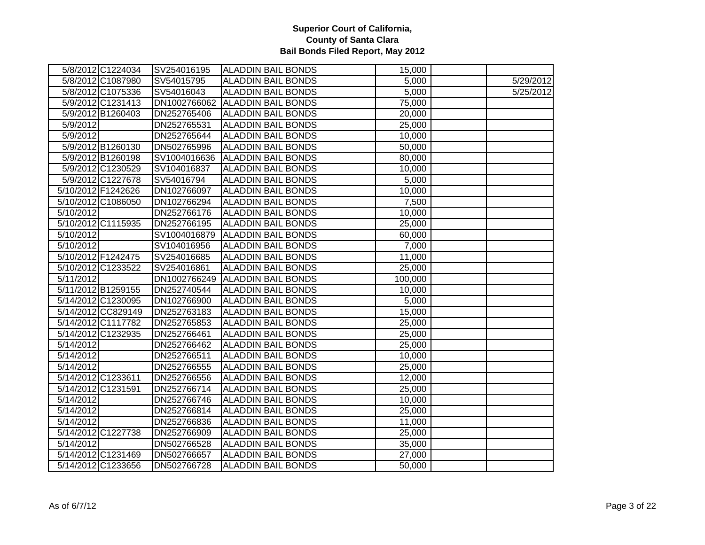|                    | 5/8/2012 C1224034  | SV254016195  | <b>ALADDIN BAIL BONDS</b> | 15,000  |           |
|--------------------|--------------------|--------------|---------------------------|---------|-----------|
|                    | 5/8/2012 C1087980  | SV54015795   | <b>ALADDIN BAIL BONDS</b> | 5,000   | 5/29/2012 |
|                    | 5/8/2012 C1075336  | SV54016043   | <b>ALADDIN BAIL BONDS</b> | 5,000   | 5/25/2012 |
|                    | 5/9/2012 C1231413  | DN1002766062 | <b>ALADDIN BAIL BONDS</b> | 75,000  |           |
|                    | 5/9/2012 B1260403  | DN252765406  | <b>ALADDIN BAIL BONDS</b> | 20,000  |           |
| 5/9/2012           |                    | DN252765531  | <b>ALADDIN BAIL BONDS</b> | 25,000  |           |
| 5/9/2012           |                    | DN252765644  | <b>ALADDIN BAIL BONDS</b> | 10,000  |           |
|                    | 5/9/2012 B1260130  | DN502765996  | <b>ALADDIN BAIL BONDS</b> | 50,000  |           |
|                    | 5/9/2012 B1260198  | SV1004016636 | <b>ALADDIN BAIL BONDS</b> | 80,000  |           |
|                    | 5/9/2012 C1230529  | SV104016837  | <b>ALADDIN BAIL BONDS</b> | 10,000  |           |
|                    | 5/9/2012 C1227678  | SV54016794   | <b>ALADDIN BAIL BONDS</b> | 5,000   |           |
| 5/10/2012 F1242626 |                    | DN102766097  | <b>ALADDIN BAIL BONDS</b> | 10,000  |           |
|                    | 5/10/2012 C1086050 | DN102766294  | <b>ALADDIN BAIL BONDS</b> | 7,500   |           |
| 5/10/2012          |                    | DN252766176  | <b>ALADDIN BAIL BONDS</b> | 10,000  |           |
|                    | 5/10/2012 C1115935 | DN252766195  | <b>ALADDIN BAIL BONDS</b> | 25,000  |           |
| 5/10/2012          |                    | SV1004016879 | <b>ALADDIN BAIL BONDS</b> | 60,000  |           |
| 5/10/2012          |                    | SV104016956  | <b>ALADDIN BAIL BONDS</b> | 7,000   |           |
| 5/10/2012 F1242475 |                    | SV254016685  | <b>ALADDIN BAIL BONDS</b> | 11,000  |           |
|                    | 5/10/2012 C1233522 | SV254016861  | <b>ALADDIN BAIL BONDS</b> | 25,000  |           |
| 5/11/2012          |                    | DN1002766249 | <b>ALADDIN BAIL BONDS</b> | 100,000 |           |
| 5/11/2012 B1259155 |                    | DN252740544  | <b>ALADDIN BAIL BONDS</b> | 10,000  |           |
|                    | 5/14/2012 C1230095 | DN102766900  | <b>ALADDIN BAIL BONDS</b> | 5,000   |           |
|                    | 5/14/2012 CC829149 | DN252763183  | <b>ALADDIN BAIL BONDS</b> | 15,000  |           |
|                    | 5/14/2012 C1117782 | DN252765853  | <b>ALADDIN BAIL BONDS</b> | 25,000  |           |
|                    | 5/14/2012 C1232935 | DN252766461  | <b>ALADDIN BAIL BONDS</b> | 25,000  |           |
| 5/14/2012          |                    | DN252766462  | <b>ALADDIN BAIL BONDS</b> | 25,000  |           |
| 5/14/2012          |                    | DN252766511  | <b>ALADDIN BAIL BONDS</b> | 10,000  |           |
| 5/14/2012          |                    | DN252766555  | <b>ALADDIN BAIL BONDS</b> | 25,000  |           |
| 5/14/2012 C1233611 |                    | DN252766556  | <b>ALADDIN BAIL BONDS</b> | 12,000  |           |
| 5/14/2012 C1231591 |                    | DN252766714  | <b>ALADDIN BAIL BONDS</b> | 25,000  |           |
| 5/14/2012          |                    | DN252766746  | <b>ALADDIN BAIL BONDS</b> | 10,000  |           |
| 5/14/2012          |                    | DN252766814  | <b>ALADDIN BAIL BONDS</b> | 25,000  |           |
| 5/14/2012          |                    | DN252766836  | <b>ALADDIN BAIL BONDS</b> | 11,000  |           |
|                    | 5/14/2012 C1227738 | DN252766909  | <b>ALADDIN BAIL BONDS</b> | 25,000  |           |
| 5/14/2012          |                    | DN502766528  | <b>ALADDIN BAIL BONDS</b> | 35,000  |           |
|                    | 5/14/2012 C1231469 | DN502766657  | <b>ALADDIN BAIL BONDS</b> | 27,000  |           |
|                    | 5/14/2012 C1233656 | DN502766728  | <b>ALADDIN BAIL BONDS</b> | 50,000  |           |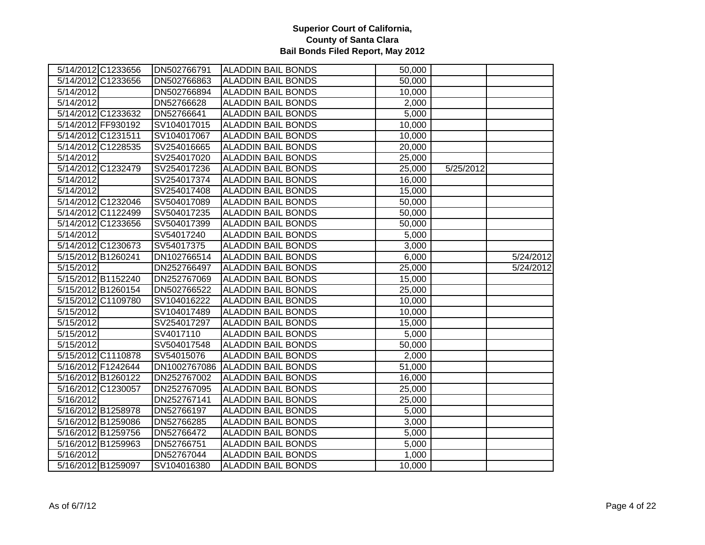| 5/14/2012 C1233656 | DN502766791  | <b>ALADDIN BAIL BONDS</b> | 50,000 |           |           |
|--------------------|--------------|---------------------------|--------|-----------|-----------|
| 5/14/2012 C1233656 | DN502766863  | <b>ALADDIN BAIL BONDS</b> | 50,000 |           |           |
| 5/14/2012          | DN502766894  | <b>ALADDIN BAIL BONDS</b> | 10,000 |           |           |
| 5/14/2012          | DN52766628   | <b>ALADDIN BAIL BONDS</b> | 2,000  |           |           |
| 5/14/2012 C1233632 | DN52766641   | <b>ALADDIN BAIL BONDS</b> | 5,000  |           |           |
| 5/14/2012 FF930192 | SV104017015  | <b>ALADDIN BAIL BONDS</b> | 10,000 |           |           |
| 5/14/2012 C1231511 | SV104017067  | <b>ALADDIN BAIL BONDS</b> | 10,000 |           |           |
| 5/14/2012 C1228535 | SV254016665  | <b>ALADDIN BAIL BONDS</b> | 20,000 |           |           |
| 5/14/2012          | SV254017020  | <b>ALADDIN BAIL BONDS</b> | 25,000 |           |           |
| 5/14/2012 C1232479 | SV254017236  | <b>ALADDIN BAIL BONDS</b> | 25,000 | 5/25/2012 |           |
| 5/14/2012          | SV254017374  | <b>ALADDIN BAIL BONDS</b> | 16,000 |           |           |
| 5/14/2012          | SV254017408  | <b>ALADDIN BAIL BONDS</b> | 15,000 |           |           |
| 5/14/2012 C1232046 | SV504017089  | <b>ALADDIN BAIL BONDS</b> | 50,000 |           |           |
| 5/14/2012 C1122499 | SV504017235  | <b>ALADDIN BAIL BONDS</b> | 50,000 |           |           |
| 5/14/2012 C1233656 | SV504017399  | <b>ALADDIN BAIL BONDS</b> | 50,000 |           |           |
| 5/14/2012          | SV54017240   | <b>ALADDIN BAIL BONDS</b> | 5,000  |           |           |
| 5/14/2012 C1230673 | SV54017375   | <b>ALADDIN BAIL BONDS</b> | 3,000  |           |           |
| 5/15/2012 B1260241 | DN102766514  | <b>ALADDIN BAIL BONDS</b> | 6,000  |           | 5/24/2012 |
| 5/15/2012          | DN252766497  | <b>ALADDIN BAIL BONDS</b> | 25,000 |           | 5/24/2012 |
| 5/15/2012 B1152240 | DN252767069  | <b>ALADDIN BAIL BONDS</b> | 15,000 |           |           |
| 5/15/2012 B1260154 | DN502766522  | <b>ALADDIN BAIL BONDS</b> | 25,000 |           |           |
| 5/15/2012 C1109780 | SV104016222  | <b>ALADDIN BAIL BONDS</b> | 10,000 |           |           |
| 5/15/2012          | SV104017489  | <b>ALADDIN BAIL BONDS</b> | 10,000 |           |           |
| 5/15/2012          | SV254017297  | <b>ALADDIN BAIL BONDS</b> | 15,000 |           |           |
| 5/15/2012          | SV4017110    | <b>ALADDIN BAIL BONDS</b> | 5,000  |           |           |
| 5/15/2012          | SV504017548  | <b>ALADDIN BAIL BONDS</b> | 50,000 |           |           |
| 5/15/2012 C1110878 | SV54015076   | <b>ALADDIN BAIL BONDS</b> | 2,000  |           |           |
| 5/16/2012 F1242644 | DN1002767086 | <b>ALADDIN BAIL BONDS</b> | 51,000 |           |           |
| 5/16/2012 B1260122 | DN252767002  | <b>ALADDIN BAIL BONDS</b> | 16,000 |           |           |
| 5/16/2012 C1230057 | DN252767095  | <b>ALADDIN BAIL BONDS</b> | 25,000 |           |           |
| 5/16/2012          | DN252767141  | <b>ALADDIN BAIL BONDS</b> | 25,000 |           |           |
| 5/16/2012 B1258978 | DN52766197   | <b>ALADDIN BAIL BONDS</b> | 5,000  |           |           |
| 5/16/2012 B1259086 | DN52766285   | <b>ALADDIN BAIL BONDS</b> | 3,000  |           |           |
| 5/16/2012 B1259756 | DN52766472   | <b>ALADDIN BAIL BONDS</b> | 5,000  |           |           |
| 5/16/2012 B1259963 | DN52766751   | <b>ALADDIN BAIL BONDS</b> | 5,000  |           |           |
| 5/16/2012          | DN52767044   | <b>ALADDIN BAIL BONDS</b> | 1,000  |           |           |
| 5/16/2012 B1259097 | SV104016380  | <b>ALADDIN BAIL BONDS</b> | 10,000 |           |           |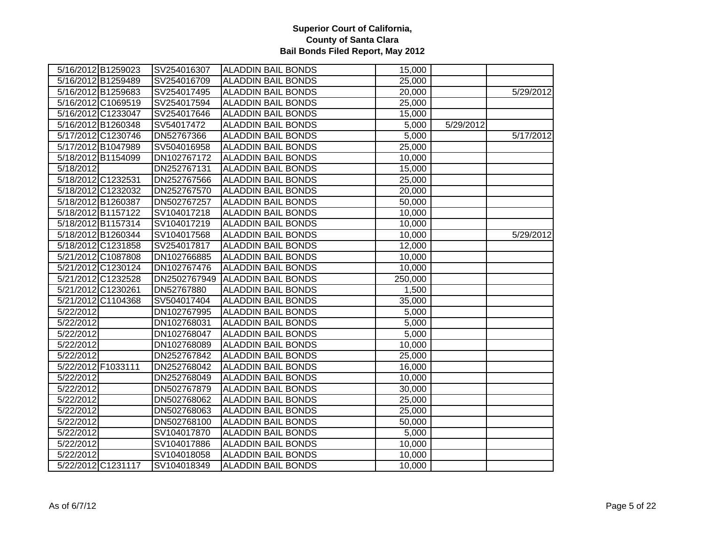|                    | 5/16/2012 B1259023 | SV254016307  | <b>ALADDIN BAIL BONDS</b> | 15,000  |           |           |
|--------------------|--------------------|--------------|---------------------------|---------|-----------|-----------|
|                    | 5/16/2012 B1259489 | SV254016709  | <b>ALADDIN BAIL BONDS</b> | 25,000  |           |           |
|                    | 5/16/2012 B1259683 | SV254017495  | <b>ALADDIN BAIL BONDS</b> | 20,000  |           | 5/29/2012 |
|                    | 5/16/2012 C1069519 | SV254017594  | <b>ALADDIN BAIL BONDS</b> | 25,000  |           |           |
|                    | 5/16/2012 C1233047 | SV254017646  | <b>ALADDIN BAIL BONDS</b> | 15,000  |           |           |
|                    | 5/16/2012 B1260348 | SV54017472   | <b>ALADDIN BAIL BONDS</b> | 5,000   | 5/29/2012 |           |
|                    | 5/17/2012 C1230746 | DN52767366   | <b>ALADDIN BAIL BONDS</b> | 5,000   |           | 5/17/2012 |
|                    | 5/17/2012 B1047989 | SV504016958  | <b>ALADDIN BAIL BONDS</b> | 25,000  |           |           |
|                    | 5/18/2012 B1154099 | DN102767172  | <b>ALADDIN BAIL BONDS</b> | 10,000  |           |           |
| 5/18/2012          |                    | DN252767131  | <b>ALADDIN BAIL BONDS</b> | 15,000  |           |           |
| 5/18/2012 C1232531 |                    | DN252767566  | <b>ALADDIN BAIL BONDS</b> | 25,000  |           |           |
|                    | 5/18/2012 C1232032 | DN252767570  | <b>ALADDIN BAIL BONDS</b> | 20,000  |           |           |
| 5/18/2012 B1260387 |                    | DN502767257  | <b>ALADDIN BAIL BONDS</b> | 50,000  |           |           |
|                    | 5/18/2012 B1157122 | SV104017218  | <b>ALADDIN BAIL BONDS</b> | 10,000  |           |           |
|                    | 5/18/2012 B1157314 | SV104017219  | <b>ALADDIN BAIL BONDS</b> | 10,000  |           |           |
|                    | 5/18/2012 B1260344 | SV104017568  | <b>ALADDIN BAIL BONDS</b> | 10,000  |           | 5/29/2012 |
|                    | 5/18/2012 C1231858 | SV254017817  | <b>ALADDIN BAIL BONDS</b> | 12,000  |           |           |
|                    | 5/21/2012 C1087808 | DN102766885  | <b>ALADDIN BAIL BONDS</b> | 10,000  |           |           |
|                    | 5/21/2012 C1230124 | DN102767476  | <b>ALADDIN BAIL BONDS</b> | 10,000  |           |           |
|                    | 5/21/2012 C1232528 | DN2502767949 | <b>ALADDIN BAIL BONDS</b> | 250,000 |           |           |
| 5/21/2012 C1230261 |                    | DN52767880   | <b>ALADDIN BAIL BONDS</b> | 1,500   |           |           |
|                    | 5/21/2012 C1104368 | SV504017404  | <b>ALADDIN BAIL BONDS</b> | 35,000  |           |           |
| 5/22/2012          |                    | DN102767995  | <b>ALADDIN BAIL BONDS</b> | 5,000   |           |           |
| 5/22/2012          |                    | DN102768031  | <b>ALADDIN BAIL BONDS</b> | 5,000   |           |           |
| 5/22/2012          |                    | DN102768047  | <b>ALADDIN BAIL BONDS</b> | 5,000   |           |           |
| 5/22/2012          |                    | DN102768089  | <b>ALADDIN BAIL BONDS</b> | 10,000  |           |           |
| 5/22/2012          |                    | DN252767842  | <b>ALADDIN BAIL BONDS</b> | 25,000  |           |           |
| 5/22/2012 F1033111 |                    | DN252768042  | <b>ALADDIN BAIL BONDS</b> | 16,000  |           |           |
| 5/22/2012          |                    | DN252768049  | <b>ALADDIN BAIL BONDS</b> | 10,000  |           |           |
| 5/22/2012          |                    | DN502767879  | <b>ALADDIN BAIL BONDS</b> | 30,000  |           |           |
| 5/22/2012          |                    | DN502768062  | <b>ALADDIN BAIL BONDS</b> | 25,000  |           |           |
| 5/22/2012          |                    | DN502768063  | <b>ALADDIN BAIL BONDS</b> | 25,000  |           |           |
| 5/22/2012          |                    | DN502768100  | <b>ALADDIN BAIL BONDS</b> | 50,000  |           |           |
| 5/22/2012          |                    | SV104017870  | <b>ALADDIN BAIL BONDS</b> | 5,000   |           |           |
| 5/22/2012          |                    | SV104017886  | <b>ALADDIN BAIL BONDS</b> | 10,000  |           |           |
| 5/22/2012          |                    | SV104018058  | <b>ALADDIN BAIL BONDS</b> | 10,000  |           |           |
|                    | 5/22/2012 C1231117 | SV104018349  | <b>ALADDIN BAIL BONDS</b> | 10,000  |           |           |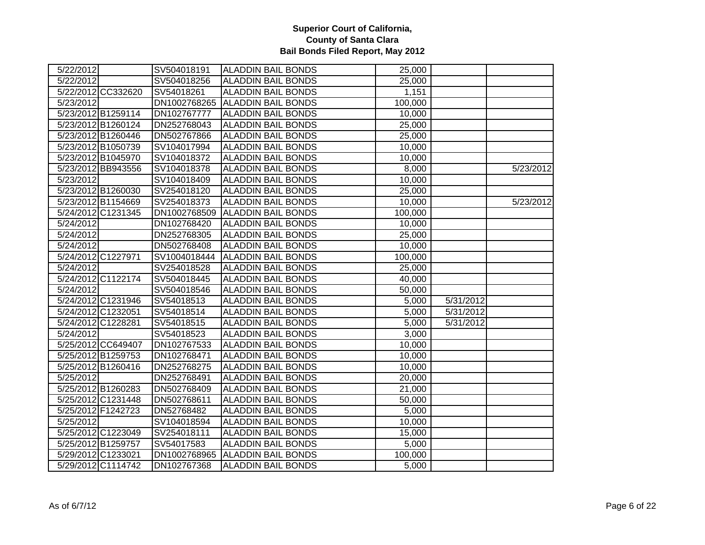| 5/22/2012 |                    | SV504018191  | <b>ALADDIN BAIL BONDS</b> | 25,000  |           |           |
|-----------|--------------------|--------------|---------------------------|---------|-----------|-----------|
| 5/22/2012 |                    | SV504018256  | <b>ALADDIN BAIL BONDS</b> | 25,000  |           |           |
|           | 5/22/2012 CC332620 | SV54018261   | <b>ALADDIN BAIL BONDS</b> | 1,151   |           |           |
| 5/23/2012 |                    | DN1002768265 | <b>ALADDIN BAIL BONDS</b> | 100,000 |           |           |
|           | 5/23/2012 B1259114 | DN102767777  | <b>ALADDIN BAIL BONDS</b> | 10,000  |           |           |
|           | 5/23/2012 B1260124 | DN252768043  | <b>ALADDIN BAIL BONDS</b> | 25,000  |           |           |
|           | 5/23/2012 B1260446 | DN502767866  | <b>ALADDIN BAIL BONDS</b> | 25,000  |           |           |
|           | 5/23/2012 B1050739 | SV104017994  | <b>ALADDIN BAIL BONDS</b> | 10,000  |           |           |
|           | 5/23/2012 B1045970 | SV104018372  | <b>ALADDIN BAIL BONDS</b> | 10,000  |           |           |
|           | 5/23/2012 BB943556 | SV104018378  | <b>ALADDIN BAIL BONDS</b> | 8,000   |           | 5/23/2012 |
| 5/23/2012 |                    | SV104018409  | <b>ALADDIN BAIL BONDS</b> | 10,000  |           |           |
|           | 5/23/2012 B1260030 | SV254018120  | <b>ALADDIN BAIL BONDS</b> | 25,000  |           |           |
|           | 5/23/2012 B1154669 | SV254018373  | <b>ALADDIN BAIL BONDS</b> | 10,000  |           | 5/23/2012 |
|           | 5/24/2012 C1231345 | DN1002768509 | <b>ALADDIN BAIL BONDS</b> | 100,000 |           |           |
| 5/24/2012 |                    | DN102768420  | <b>ALADDIN BAIL BONDS</b> | 10,000  |           |           |
| 5/24/2012 |                    | DN252768305  | <b>ALADDIN BAIL BONDS</b> | 25,000  |           |           |
| 5/24/2012 |                    | DN502768408  | <b>ALADDIN BAIL BONDS</b> | 10,000  |           |           |
|           | 5/24/2012 C1227971 | SV1004018444 | <b>ALADDIN BAIL BONDS</b> | 100,000 |           |           |
| 5/24/2012 |                    | SV254018528  | <b>ALADDIN BAIL BONDS</b> | 25,000  |           |           |
|           | 5/24/2012 C1122174 | SV504018445  | <b>ALADDIN BAIL BONDS</b> | 40,000  |           |           |
| 5/24/2012 |                    | SV504018546  | <b>ALADDIN BAIL BONDS</b> | 50,000  |           |           |
|           | 5/24/2012 C1231946 | SV54018513   | <b>ALADDIN BAIL BONDS</b> | 5,000   | 5/31/2012 |           |
|           | 5/24/2012 C1232051 | SV54018514   | <b>ALADDIN BAIL BONDS</b> | 5,000   | 5/31/2012 |           |
|           | 5/24/2012 C1228281 | SV54018515   | <b>ALADDIN BAIL BONDS</b> | 5,000   | 5/31/2012 |           |
| 5/24/2012 |                    | SV54018523   | <b>ALADDIN BAIL BONDS</b> | 3,000   |           |           |
|           | 5/25/2012 CC649407 | DN102767533  | <b>ALADDIN BAIL BONDS</b> | 10,000  |           |           |
|           | 5/25/2012 B1259753 | DN102768471  | <b>ALADDIN BAIL BONDS</b> | 10,000  |           |           |
|           | 5/25/2012 B1260416 | DN252768275  | <b>ALADDIN BAIL BONDS</b> | 10,000  |           |           |
| 5/25/2012 |                    | DN252768491  | <b>ALADDIN BAIL BONDS</b> | 20,000  |           |           |
|           | 5/25/2012 B1260283 | DN502768409  | <b>ALADDIN BAIL BONDS</b> | 21,000  |           |           |
|           | 5/25/2012 C1231448 | DN502768611  | <b>ALADDIN BAIL BONDS</b> | 50,000  |           |           |
|           | 5/25/2012 F1242723 | DN52768482   | <b>ALADDIN BAIL BONDS</b> | 5,000   |           |           |
| 5/25/2012 |                    | SV104018594  | <b>ALADDIN BAIL BONDS</b> | 10,000  |           |           |
|           | 5/25/2012 C1223049 | SV254018111  | <b>ALADDIN BAIL BONDS</b> | 15,000  |           |           |
|           | 5/25/2012 B1259757 | SV54017583   | <b>ALADDIN BAIL BONDS</b> | 5,000   |           |           |
|           | 5/29/2012 C1233021 | DN1002768965 | <b>ALADDIN BAIL BONDS</b> | 100,000 |           |           |
|           | 5/29/2012 C1114742 | DN102767368  | <b>ALADDIN BAIL BONDS</b> | 5,000   |           |           |
|           |                    |              |                           |         |           |           |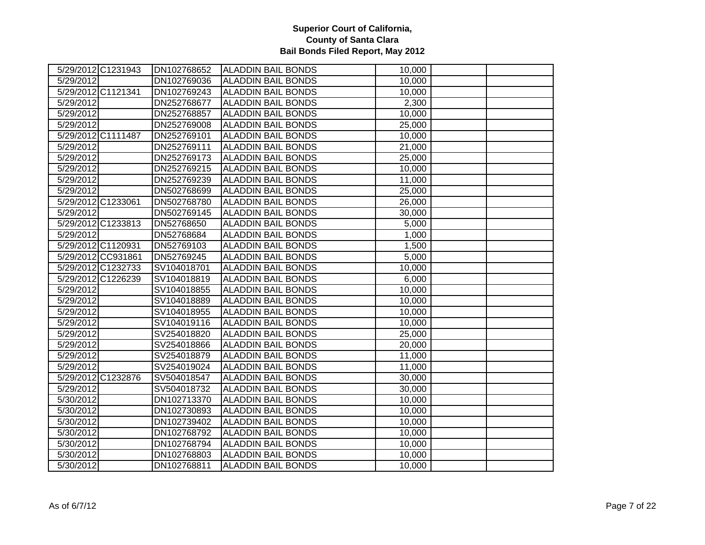| 5/29/2012 C1231943     | DN102768652 | <b>ALADDIN BAIL BONDS</b> | 10,000 |  |
|------------------------|-------------|---------------------------|--------|--|
| $\overline{5/29/2012}$ | DN102769036 | <b>ALADDIN BAIL BONDS</b> | 10,000 |  |
| 5/29/2012 C1121341     | DN102769243 | <b>ALADDIN BAIL BONDS</b> | 10,000 |  |
| 5/29/2012              | DN252768677 | <b>ALADDIN BAIL BONDS</b> | 2,300  |  |
| 5/29/2012              | DN252768857 | <b>ALADDIN BAIL BONDS</b> | 10,000 |  |
| 5/29/2012              | DN252769008 | <b>ALADDIN BAIL BONDS</b> | 25,000 |  |
| 5/29/2012 C1111487     | DN252769101 | <b>ALADDIN BAIL BONDS</b> | 10,000 |  |
| 5/29/2012              | DN252769111 | <b>ALADDIN BAIL BONDS</b> | 21,000 |  |
| 5/29/2012              | DN252769173 | <b>ALADDIN BAIL BONDS</b> | 25,000 |  |
| 5/29/2012              | DN252769215 | <b>ALADDIN BAIL BONDS</b> | 10,000 |  |
| 5/29/2012              | DN252769239 | <b>ALADDIN BAIL BONDS</b> | 11,000 |  |
| 5/29/2012              | DN502768699 | <b>ALADDIN BAIL BONDS</b> | 25,000 |  |
| 5/29/2012 C1233061     | DN502768780 | <b>ALADDIN BAIL BONDS</b> | 26,000 |  |
| 5/29/2012              | DN502769145 | <b>ALADDIN BAIL BONDS</b> | 30,000 |  |
| 5/29/2012 C1233813     | DN52768650  | <b>ALADDIN BAIL BONDS</b> | 5,000  |  |
| 5/29/2012              | DN52768684  | ALADDIN BAIL BONDS        | 1,000  |  |
| 5/29/2012 C1120931     | DN52769103  | <b>ALADDIN BAIL BONDS</b> | 1,500  |  |
| 5/29/2012 CC931861     | DN52769245  | <b>ALADDIN BAIL BONDS</b> | 5,000  |  |
| 5/29/2012 C1232733     | SV104018701 | <b>ALADDIN BAIL BONDS</b> | 10,000 |  |
| 5/29/2012 C1226239     | SV104018819 | <b>ALADDIN BAIL BONDS</b> | 6,000  |  |
| 5/29/2012              | SV104018855 | <b>ALADDIN BAIL BONDS</b> | 10,000 |  |
| 5/29/2012              | SV104018889 | <b>ALADDIN BAIL BONDS</b> | 10,000 |  |
| 5/29/2012              | SV104018955 | <b>ALADDIN BAIL BONDS</b> | 10,000 |  |
| 5/29/2012              | SV104019116 | <b>ALADDIN BAIL BONDS</b> | 10,000 |  |
| 5/29/2012              | SV254018820 | <b>ALADDIN BAIL BONDS</b> | 25,000 |  |
| 5/29/2012              | SV254018866 | <b>ALADDIN BAIL BONDS</b> | 20,000 |  |
| 5/29/2012              | SV254018879 | <b>ALADDIN BAIL BONDS</b> | 11,000 |  |
| 5/29/2012              | SV254019024 | <b>ALADDIN BAIL BONDS</b> | 11,000 |  |
| 5/29/2012 C1232876     | SV504018547 | <b>ALADDIN BAIL BONDS</b> | 30,000 |  |
| 5/29/2012              | SV504018732 | <b>ALADDIN BAIL BONDS</b> | 30,000 |  |
| 5/30/2012              | DN102713370 | <b>ALADDIN BAIL BONDS</b> | 10,000 |  |
| 5/30/2012              | DN102730893 | <b>ALADDIN BAIL BONDS</b> | 10,000 |  |
| 5/30/2012              | DN102739402 | <b>ALADDIN BAIL BONDS</b> | 10,000 |  |
| 5/30/2012              | DN102768792 | <b>ALADDIN BAIL BONDS</b> | 10,000 |  |
| 5/30/2012              | DN102768794 | <b>ALADDIN BAIL BONDS</b> | 10,000 |  |
| 5/30/2012              | DN102768803 | <b>ALADDIN BAIL BONDS</b> | 10,000 |  |
| 5/30/2012              | DN102768811 | <b>ALADDIN BAIL BONDS</b> | 10,000 |  |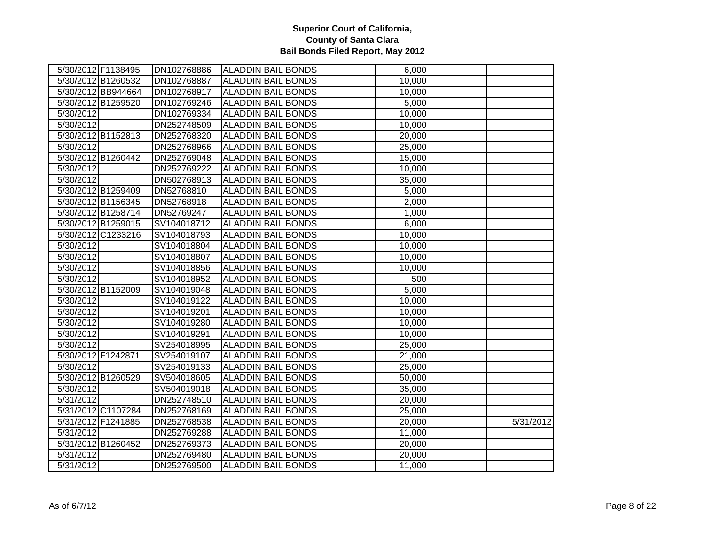| 5/30/2012 F1138495     | DN102768886 | <b>ALADDIN BAIL BONDS</b> | 6,000  |           |
|------------------------|-------------|---------------------------|--------|-----------|
| 5/30/2012 B1260532     | DN102768887 | <b>ALADDIN BAIL BONDS</b> | 10,000 |           |
| 5/30/2012 BB944664     | DN102768917 | <b>ALADDIN BAIL BONDS</b> | 10,000 |           |
| 5/30/2012 B1259520     | DN102769246 | <b>ALADDIN BAIL BONDS</b> | 5,000  |           |
| 5/30/2012              | DN102769334 | <b>ALADDIN BAIL BONDS</b> | 10,000 |           |
| 5/30/2012              | DN252748509 | <b>ALADDIN BAIL BONDS</b> | 10,000 |           |
| 5/30/2012 B1152813     | DN252768320 | <b>ALADDIN BAIL BONDS</b> | 20,000 |           |
| 5/30/2012              | DN252768966 | <b>ALADDIN BAIL BONDS</b> | 25,000 |           |
| 5/30/2012 B1260442     | DN252769048 | <b>ALADDIN BAIL BONDS</b> | 15,000 |           |
| 5/30/2012              | DN252769222 | <b>ALADDIN BAIL BONDS</b> | 10,000 |           |
| 5/30/2012              | DN502768913 | <b>ALADDIN BAIL BONDS</b> | 35,000 |           |
| 5/30/2012 B1259409     | DN52768810  | <b>ALADDIN BAIL BONDS</b> | 5,000  |           |
| 5/30/2012 B1156345     | DN52768918  | <b>ALADDIN BAIL BONDS</b> | 2,000  |           |
| 5/30/2012 B1258714     | DN52769247  | <b>ALADDIN BAIL BONDS</b> | 1,000  |           |
| 5/30/2012 B1259015     | SV104018712 | <b>ALADDIN BAIL BONDS</b> | 6,000  |           |
| 5/30/2012 C1233216     | SV104018793 | <b>ALADDIN BAIL BONDS</b> | 10,000 |           |
| 5/30/2012              | SV104018804 | <b>ALADDIN BAIL BONDS</b> | 10,000 |           |
| 5/30/2012              | SV104018807 | <b>ALADDIN BAIL BONDS</b> | 10,000 |           |
| 5/30/2012              | SV104018856 | <b>ALADDIN BAIL BONDS</b> | 10,000 |           |
| 5/30/2012              | SV104018952 | <b>ALADDIN BAIL BONDS</b> | 500    |           |
| 5/30/2012 B1152009     | SV104019048 | <b>ALADDIN BAIL BONDS</b> | 5,000  |           |
| 5/30/2012              | SV104019122 | <b>ALADDIN BAIL BONDS</b> | 10,000 |           |
| 5/30/2012              | SV104019201 | <b>ALADDIN BAIL BONDS</b> | 10,000 |           |
| 5/30/2012              | SV104019280 | <b>ALADDIN BAIL BONDS</b> | 10,000 |           |
| 5/30/2012              | SV104019291 | <b>ALADDIN BAIL BONDS</b> | 10,000 |           |
| 5/30/2012              | SV254018995 | <b>ALADDIN BAIL BONDS</b> | 25,000 |           |
| 5/30/2012 F1242871     | SV254019107 | <b>ALADDIN BAIL BONDS</b> | 21,000 |           |
| 5/30/2012              | SV254019133 | <b>ALADDIN BAIL BONDS</b> | 25,000 |           |
| 5/30/2012 B1260529     | SV504018605 | <b>ALADDIN BAIL BONDS</b> | 50,000 |           |
| 5/30/2012              | SV504019018 | <b>ALADDIN BAIL BONDS</b> | 35,000 |           |
| 5/31/2012              | DN252748510 | <b>ALADDIN BAIL BONDS</b> | 20,000 |           |
| 5/31/2012 C1107284     | DN252768169 | <b>ALADDIN BAIL BONDS</b> | 25,000 |           |
| 5/31/2012 F1241885     | DN252768538 | <b>ALADDIN BAIL BONDS</b> | 20,000 | 5/31/2012 |
| 5/31/2012              | DN252769288 | <b>ALADDIN BAIL BONDS</b> | 11,000 |           |
| 5/31/2012 B1260452     | DN252769373 | <b>ALADDIN BAIL BONDS</b> | 20,000 |           |
| $\overline{5/31/2012}$ | DN252769480 | <b>ALADDIN BAIL BONDS</b> | 20,000 |           |
| 5/31/2012              | DN252769500 | <b>ALADDIN BAIL BONDS</b> | 11,000 |           |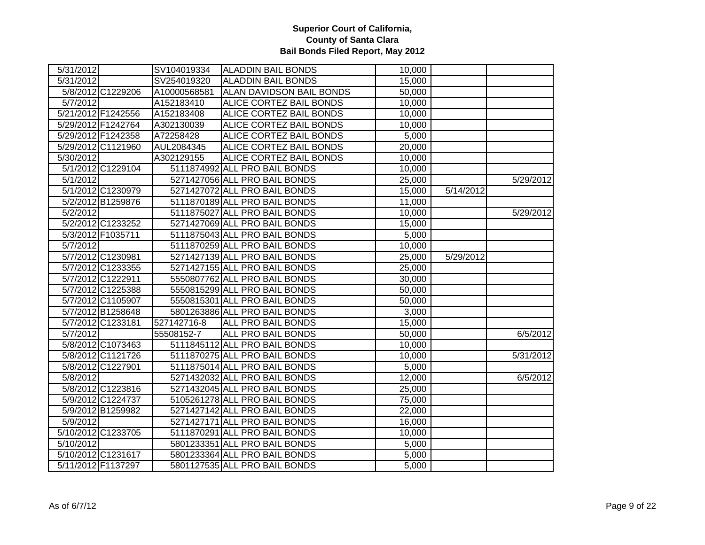| 5/31/2012 |                    | SV104019334  | <b>ALADDIN BAIL BONDS</b>       | 10,000 |           |           |
|-----------|--------------------|--------------|---------------------------------|--------|-----------|-----------|
| 5/31/2012 |                    | SV254019320  | <b>ALADDIN BAIL BONDS</b>       | 15,000 |           |           |
|           | 5/8/2012 C1229206  | A10000568581 | <b>ALAN DAVIDSON BAIL BONDS</b> | 50,000 |           |           |
| 5/7/2012  |                    | A152183410   | <b>ALICE CORTEZ BAIL BONDS</b>  | 10,000 |           |           |
|           | 5/21/2012 F1242556 | A152183408   | ALICE CORTEZ BAIL BONDS         | 10,000 |           |           |
|           | 5/29/2012 F1242764 | A302130039   | <b>ALICE CORTEZ BAIL BONDS</b>  | 10,000 |           |           |
|           | 5/29/2012 F1242358 | A72258428    | <b>ALICE CORTEZ BAIL BONDS</b>  | 5,000  |           |           |
|           | 5/29/2012 C1121960 | AUL2084345   | ALICE CORTEZ BAIL BONDS         | 20,000 |           |           |
| 5/30/2012 |                    | A302129155   | ALICE CORTEZ BAIL BONDS         | 10,000 |           |           |
|           | 5/1/2012 C1229104  |              | 5111874992 ALL PRO BAIL BONDS   | 10,000 |           |           |
| 5/1/2012  |                    |              | 5271427056 ALL PRO BAIL BONDS   | 25,000 |           | 5/29/2012 |
|           | 5/1/2012 C1230979  |              | 5271427072 ALL PRO BAIL BONDS   | 15,000 | 5/14/2012 |           |
|           | 5/2/2012 B1259876  |              | 5111870189 ALL PRO BAIL BONDS   | 11,000 |           |           |
| 5/2/2012  |                    |              | 5111875027 ALL PRO BAIL BONDS   | 10,000 |           | 5/29/2012 |
|           | 5/2/2012 C1233252  |              | 5271427069 ALL PRO BAIL BONDS   | 15,000 |           |           |
|           | 5/3/2012 F1035711  |              | 5111875043 ALL PRO BAIL BONDS   | 5,000  |           |           |
| 5/7/2012  |                    |              | 5111870259 ALL PRO BAIL BONDS   | 10,000 |           |           |
|           | 5/7/2012 C1230981  |              | 5271427139 ALL PRO BAIL BONDS   | 25,000 | 5/29/2012 |           |
|           | 5/7/2012 C1233355  |              | 5271427155 ALL PRO BAIL BONDS   | 25,000 |           |           |
|           | 5/7/2012 C1222911  |              | 5550807762 ALL PRO BAIL BONDS   | 30,000 |           |           |
|           | 5/7/2012 C1225388  |              | 5550815299 ALL PRO BAIL BONDS   | 50,000 |           |           |
|           | 5/7/2012 C1105907  |              | 5550815301 ALL PRO BAIL BONDS   | 50,000 |           |           |
|           | 5/7/2012 B1258648  |              | 5801263886 ALL PRO BAIL BONDS   | 3,000  |           |           |
|           | 5/7/2012 C1233181  | 527142716-8  | ALL PRO BAIL BONDS              | 15,000 |           |           |
| 5/7/2012  |                    | 55508152-7   | ALL PRO BAIL BONDS              | 50,000 |           | 6/5/2012  |
|           | 5/8/2012 C1073463  |              | 5111845112 ALL PRO BAIL BONDS   | 10,000 |           |           |
|           | 5/8/2012 C1121726  |              | 5111870275 ALL PRO BAIL BONDS   | 10,000 |           | 5/31/2012 |
|           | 5/8/2012 C1227901  |              | 5111875014 ALL PRO BAIL BONDS   | 5,000  |           |           |
| 5/8/2012  |                    |              | 5271432032 ALL PRO BAIL BONDS   | 12,000 |           | 6/5/2012  |
|           | 5/8/2012 C1223816  |              | 5271432045 ALL PRO BAIL BONDS   | 25,000 |           |           |
|           | 5/9/2012 C1224737  |              | 5105261278 ALL PRO BAIL BONDS   | 75,000 |           |           |
|           | 5/9/2012 B1259982  |              | 5271427142 ALL PRO BAIL BONDS   | 22,000 |           |           |
| 5/9/2012  |                    |              | 5271427171 ALL PRO BAIL BONDS   | 16,000 |           |           |
|           | 5/10/2012 C1233705 |              | 5111870291 ALL PRO BAIL BONDS   | 10,000 |           |           |
| 5/10/2012 |                    |              | 5801233351 ALL PRO BAIL BONDS   | 5,000  |           |           |
|           | 5/10/2012 C1231617 |              | 5801233364 ALL PRO BAIL BONDS   | 5,000  |           |           |
|           | 5/11/2012 F1137297 |              | 5801127535 ALL PRO BAIL BONDS   | 5,000  |           |           |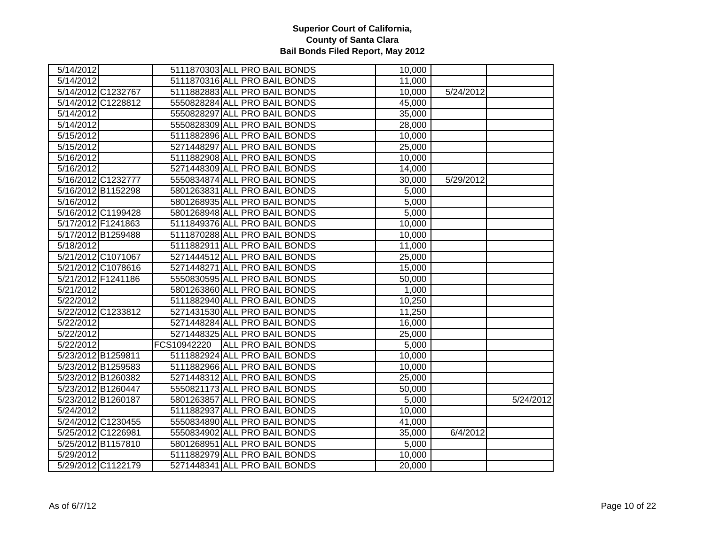| 5/14/2012 |                    |             | 5111870303 ALL PRO BAIL BONDS | 10,000 |           |           |
|-----------|--------------------|-------------|-------------------------------|--------|-----------|-----------|
| 5/14/2012 |                    |             | 5111870316 ALL PRO BAIL BONDS | 11,000 |           |           |
|           | 5/14/2012 C1232767 |             | 5111882883 ALL PRO BAIL BONDS | 10,000 | 5/24/2012 |           |
|           | 5/14/2012 C1228812 |             | 5550828284 ALL PRO BAIL BONDS | 45,000 |           |           |
| 5/14/2012 |                    |             | 5550828297 ALL PRO BAIL BONDS | 35,000 |           |           |
| 5/14/2012 |                    |             | 5550828309 ALL PRO BAIL BONDS | 28,000 |           |           |
| 5/15/2012 |                    |             | 5111882896 ALL PRO BAIL BONDS | 10,000 |           |           |
| 5/15/2012 |                    |             | 5271448297 ALL PRO BAIL BONDS | 25,000 |           |           |
| 5/16/2012 |                    |             | 5111882908 ALL PRO BAIL BONDS | 10,000 |           |           |
| 5/16/2012 |                    |             | 5271448309 ALL PRO BAIL BONDS | 14,000 |           |           |
|           | 5/16/2012 C1232777 |             | 5550834874 ALL PRO BAIL BONDS | 30,000 | 5/29/2012 |           |
|           | 5/16/2012 B1152298 |             | 5801263831 ALL PRO BAIL BONDS | 5,000  |           |           |
| 5/16/2012 |                    |             | 5801268935 ALL PRO BAIL BONDS | 5,000  |           |           |
|           | 5/16/2012 C1199428 |             | 5801268948 ALL PRO BAIL BONDS | 5,000  |           |           |
|           | 5/17/2012 F1241863 |             | 5111849376 ALL PRO BAIL BONDS | 10,000 |           |           |
|           | 5/17/2012 B1259488 |             | 5111870288 ALL PRO BAIL BONDS | 10,000 |           |           |
| 5/18/2012 |                    |             | 5111882911 ALL PRO BAIL BONDS | 11,000 |           |           |
|           | 5/21/2012 C1071067 |             | 5271444512 ALL PRO BAIL BONDS | 25,000 |           |           |
|           | 5/21/2012 C1078616 |             | 5271448271 ALL PRO BAIL BONDS | 15,000 |           |           |
|           | 5/21/2012 F1241186 |             | 5550830595 ALL PRO BAIL BONDS | 50,000 |           |           |
| 5/21/2012 |                    |             | 5801263860 ALL PRO BAIL BONDS | 1,000  |           |           |
| 5/22/2012 |                    |             | 5111882940 ALL PRO BAIL BONDS | 10,250 |           |           |
|           | 5/22/2012 C1233812 |             | 5271431530 ALL PRO BAIL BONDS | 11,250 |           |           |
| 5/22/2012 |                    |             | 5271448284 ALL PRO BAIL BONDS | 16,000 |           |           |
| 5/22/2012 |                    |             | 5271448325 ALL PRO BAIL BONDS | 25,000 |           |           |
| 5/22/2012 |                    | FCS10942220 | <b>ALL PRO BAIL BONDS</b>     | 5,000  |           |           |
|           | 5/23/2012 B1259811 |             | 5111882924 ALL PRO BAIL BONDS | 10,000 |           |           |
|           | 5/23/2012 B1259583 |             | 5111882966 ALL PRO BAIL BONDS | 10,000 |           |           |
|           | 5/23/2012 B1260382 |             | 5271448312 ALL PRO BAIL BONDS | 25,000 |           |           |
|           | 5/23/2012 B1260447 |             | 5550821173 ALL PRO BAIL BONDS | 50,000 |           |           |
|           | 5/23/2012 B1260187 |             | 5801263857 ALL PRO BAIL BONDS | 5,000  |           | 5/24/2012 |
| 5/24/2012 |                    |             | 5111882937 ALL PRO BAIL BONDS | 10,000 |           |           |
|           | 5/24/2012 C1230455 |             | 5550834890 ALL PRO BAIL BONDS | 41,000 |           |           |
|           | 5/25/2012 C1226981 |             | 5550834902 ALL PRO BAIL BONDS | 35,000 | 6/4/2012  |           |
|           | 5/25/2012 B1157810 |             | 5801268951 ALL PRO BAIL BONDS | 5,000  |           |           |
| 5/29/2012 |                    |             | 5111882979 ALL PRO BAIL BONDS | 10,000 |           |           |
|           | 5/29/2012 C1122179 |             | 5271448341 ALL PRO BAIL BONDS | 20,000 |           |           |
|           |                    |             |                               |        |           |           |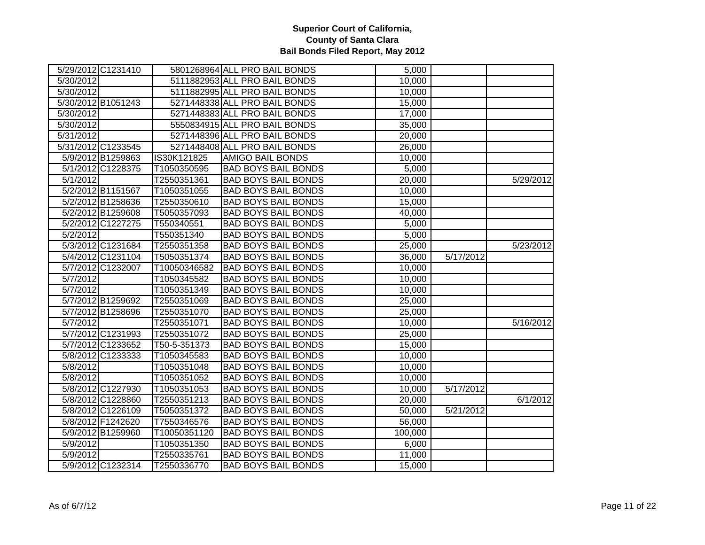|           | 5/29/2012 C1231410 |              | 5801268964 ALL PRO BAIL BONDS | 5,000   |           |           |
|-----------|--------------------|--------------|-------------------------------|---------|-----------|-----------|
| 5/30/2012 |                    |              | 5111882953 ALL PRO BAIL BONDS | 10,000  |           |           |
| 5/30/2012 |                    |              | 5111882995 ALL PRO BAIL BONDS | 10,000  |           |           |
|           | 5/30/2012 B1051243 |              | 5271448338 ALL PRO BAIL BONDS | 15,000  |           |           |
| 5/30/2012 |                    |              | 5271448383 ALL PRO BAIL BONDS | 17,000  |           |           |
| 5/30/2012 |                    |              | 5550834915 ALL PRO BAIL BONDS | 35,000  |           |           |
| 5/31/2012 |                    |              | 5271448396 ALL PRO BAIL BONDS | 20,000  |           |           |
|           | 5/31/2012 C1233545 |              | 5271448408 ALL PRO BAIL BONDS | 26,000  |           |           |
|           | 5/9/2012 B1259863  | IS30K121825  | <b>AMIGO BAIL BONDS</b>       | 10,000  |           |           |
|           | 5/1/2012 C1228375  | T1050350595  | <b>BAD BOYS BAIL BONDS</b>    | 5,000   |           |           |
| 5/1/2012  |                    | T2550351361  | <b>BAD BOYS BAIL BONDS</b>    | 20,000  |           | 5/29/2012 |
|           | 5/2/2012 B1151567  | T1050351055  | <b>BAD BOYS BAIL BONDS</b>    | 10,000  |           |           |
|           | 5/2/2012 B1258636  | T2550350610  | <b>BAD BOYS BAIL BONDS</b>    | 15,000  |           |           |
|           | 5/2/2012 B1259608  | T5050357093  | <b>BAD BOYS BAIL BONDS</b>    | 40,000  |           |           |
|           | 5/2/2012 C1227275  | T550340551   | <b>BAD BOYS BAIL BONDS</b>    | 5,000   |           |           |
| 5/2/2012  |                    | T550351340   | <b>BAD BOYS BAIL BONDS</b>    | 5,000   |           |           |
|           | 5/3/2012 C1231684  | T2550351358  | <b>BAD BOYS BAIL BONDS</b>    | 25,000  |           | 5/23/2012 |
|           | 5/4/2012 C1231104  | T5050351374  | <b>BAD BOYS BAIL BONDS</b>    | 36,000  | 5/17/2012 |           |
|           | 5/7/2012 C1232007  | T10050346582 | <b>BAD BOYS BAIL BONDS</b>    | 10,000  |           |           |
| 5/7/2012  |                    | T1050345582  | <b>BAD BOYS BAIL BONDS</b>    | 10,000  |           |           |
| 5/7/2012  |                    | T1050351349  | <b>BAD BOYS BAIL BONDS</b>    | 10,000  |           |           |
|           | 5/7/2012 B1259692  | T2550351069  | <b>BAD BOYS BAIL BONDS</b>    | 25,000  |           |           |
|           | 5/7/2012 B1258696  | T2550351070  | <b>BAD BOYS BAIL BONDS</b>    | 25,000  |           |           |
| 5/7/2012  |                    | T2550351071  | <b>BAD BOYS BAIL BONDS</b>    | 10,000  |           | 5/16/2012 |
|           | 5/7/2012 C1231993  | T2550351072  | <b>BAD BOYS BAIL BONDS</b>    | 25,000  |           |           |
|           | 5/7/2012 C1233652  | T50-5-351373 | <b>BAD BOYS BAIL BONDS</b>    | 15,000  |           |           |
|           | 5/8/2012 C1233333  | T1050345583  | <b>BAD BOYS BAIL BONDS</b>    | 10,000  |           |           |
| 5/8/2012  |                    | T1050351048  | <b>BAD BOYS BAIL BONDS</b>    | 10,000  |           |           |
| 5/8/2012  |                    | T1050351052  | <b>BAD BOYS BAIL BONDS</b>    | 10,000  |           |           |
|           | 5/8/2012 C1227930  | T1050351053  | <b>BAD BOYS BAIL BONDS</b>    | 10,000  | 5/17/2012 |           |
|           | 5/8/2012 C1228860  | T2550351213  | <b>BAD BOYS BAIL BONDS</b>    | 20,000  |           | 6/1/2012  |
|           | 5/8/2012 C1226109  | T5050351372  | <b>BAD BOYS BAIL BONDS</b>    | 50,000  | 5/21/2012 |           |
|           | 5/8/2012 F1242620  | T7550346576  | <b>BAD BOYS BAIL BONDS</b>    | 56,000  |           |           |
|           | 5/9/2012 B1259960  | T10050351120 | <b>BAD BOYS BAIL BONDS</b>    | 100,000 |           |           |
| 5/9/2012  |                    | T1050351350  | <b>BAD BOYS BAIL BONDS</b>    | 6,000   |           |           |
| 5/9/2012  |                    | T2550335761  | <b>BAD BOYS BAIL BONDS</b>    | 11,000  |           |           |
|           | 5/9/2012 C1232314  | T2550336770  | <b>BAD BOYS BAIL BONDS</b>    | 15,000  |           |           |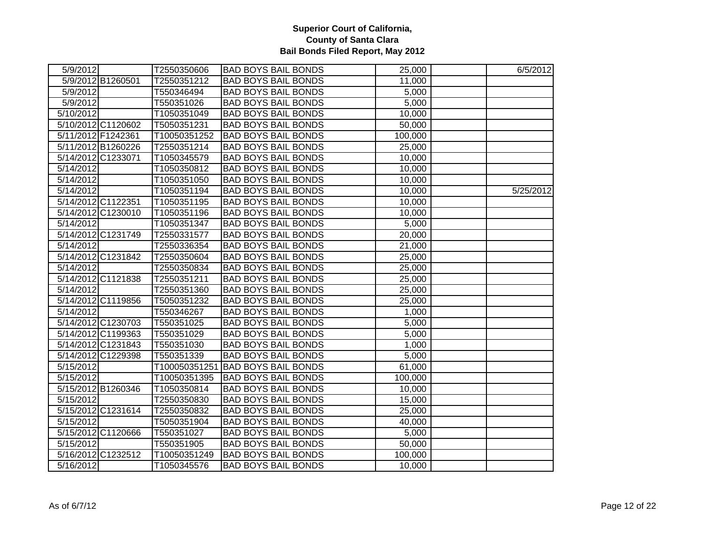| 5/9/2012               |                    | T2550350606  | <b>BAD BOYS BAIL BONDS</b>        | 25,000  | 6/5/2012  |
|------------------------|--------------------|--------------|-----------------------------------|---------|-----------|
|                        | 5/9/2012 B1260501  | T2550351212  | <b>BAD BOYS BAIL BONDS</b>        | 11,000  |           |
| 5/9/2012               |                    | T550346494   | <b>BAD BOYS BAIL BONDS</b>        | 5,000   |           |
| 5/9/2012               |                    | T550351026   | <b>BAD BOYS BAIL BONDS</b>        | 5,000   |           |
| 5/10/2012              |                    | T1050351049  | <b>BAD BOYS BAIL BONDS</b>        | 10,000  |           |
|                        | 5/10/2012 C1120602 | T5050351231  | <b>BAD BOYS BAIL BONDS</b>        | 50,000  |           |
|                        | 5/11/2012 F1242361 | T10050351252 | <b>BAD BOYS BAIL BONDS</b>        | 100,000 |           |
|                        | 5/11/2012 B1260226 | T2550351214  | <b>BAD BOYS BAIL BONDS</b>        | 25,000  |           |
|                        | 5/14/2012 C1233071 | T1050345579  | <b>BAD BOYS BAIL BONDS</b>        | 10,000  |           |
| 5/14/2012              |                    | T1050350812  | <b>BAD BOYS BAIL BONDS</b>        | 10,000  |           |
| 5/14/2012              |                    | T1050351050  | <b>BAD BOYS BAIL BONDS</b>        | 10,000  |           |
| 5/14/2012              |                    | T1050351194  | <b>BAD BOYS BAIL BONDS</b>        | 10,000  | 5/25/2012 |
|                        | 5/14/2012 C1122351 | T1050351195  | <b>BAD BOYS BAIL BONDS</b>        | 10,000  |           |
|                        | 5/14/2012 C1230010 | T1050351196  | <b>BAD BOYS BAIL BONDS</b>        | 10,000  |           |
| 5/14/2012              |                    | T1050351347  | <b>BAD BOYS BAIL BONDS</b>        | 5,000   |           |
|                        | 5/14/2012 C1231749 | T2550331577  | <b>BAD BOYS BAIL BONDS</b>        | 20,000  |           |
| 5/14/2012              |                    | T2550336354  | <b>BAD BOYS BAIL BONDS</b>        | 21,000  |           |
|                        | 5/14/2012 C1231842 | T2550350604  | <b>BAD BOYS BAIL BONDS</b>        | 25,000  |           |
| 5/14/2012              |                    | T2550350834  | <b>BAD BOYS BAIL BONDS</b>        | 25,000  |           |
|                        | 5/14/2012 C1121838 | T2550351211  | <b>BAD BOYS BAIL BONDS</b>        | 25,000  |           |
| 5/14/2012              |                    | T2550351360  | <b>BAD BOYS BAIL BONDS</b>        | 25,000  |           |
|                        | 5/14/2012 C1119856 | T5050351232  | <b>BAD BOYS BAIL BONDS</b>        | 25,000  |           |
| 5/14/2012              |                    | T550346267   | <b>BAD BOYS BAIL BONDS</b>        | 1,000   |           |
|                        | 5/14/2012 C1230703 | T550351025   | <b>BAD BOYS BAIL BONDS</b>        | 5,000   |           |
|                        | 5/14/2012 C1199363 | T550351029   | <b>BAD BOYS BAIL BONDS</b>        | 5,000   |           |
|                        | 5/14/2012 C1231843 | T550351030   | <b>BAD BOYS BAIL BONDS</b>        | 1,000   |           |
|                        | 5/14/2012 C1229398 | T550351339   | <b>BAD BOYS BAIL BONDS</b>        | 5,000   |           |
| 5/15/2012              |                    |              | T100050351251 BAD BOYS BAIL BONDS | 61,000  |           |
| 5/15/2012              |                    | T10050351395 | <b>BAD BOYS BAIL BONDS</b>        | 100,000 |           |
|                        | 5/15/2012 B1260346 | T1050350814  | <b>BAD BOYS BAIL BONDS</b>        | 10,000  |           |
| 5/15/2012              |                    | T2550350830  | <b>BAD BOYS BAIL BONDS</b>        | 15,000  |           |
|                        | 5/15/2012 C1231614 | T2550350832  | <b>BAD BOYS BAIL BONDS</b>        | 25,000  |           |
| $\overline{5/15/2012}$ |                    | T5050351904  | <b>BAD BOYS BAIL BONDS</b>        | 40,000  |           |
|                        | 5/15/2012 C1120666 | T550351027   | <b>BAD BOYS BAIL BONDS</b>        | 5,000   |           |
| 5/15/2012              |                    | T550351905   | <b>BAD BOYS BAIL BONDS</b>        | 50,000  |           |
|                        | 5/16/2012 C1232512 | T10050351249 | <b>BAD BOYS BAIL BONDS</b>        | 100,000 |           |
| 5/16/2012              |                    | T1050345576  | <b>BAD BOYS BAIL BONDS</b>        | 10,000  |           |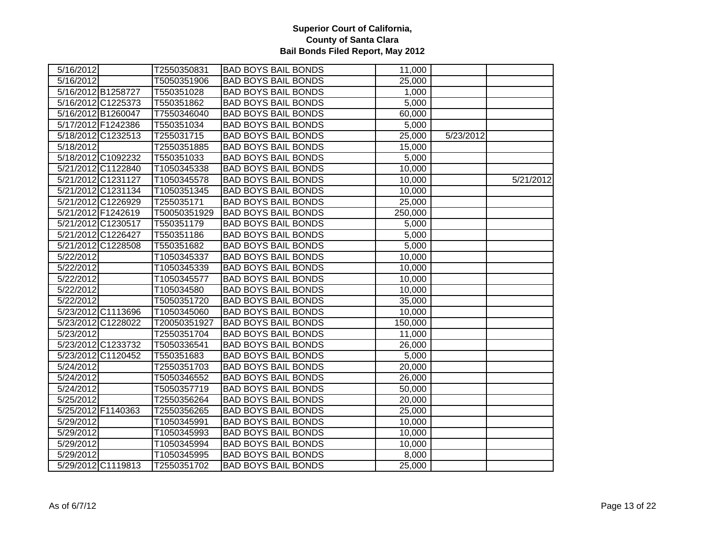| 5/16/2012          | T2550350831  | <b>BAD BOYS BAIL BONDS</b> | 11,000  |           |           |
|--------------------|--------------|----------------------------|---------|-----------|-----------|
| 5/16/2012          | T5050351906  | <b>BAD BOYS BAIL BONDS</b> | 25,000  |           |           |
| 5/16/2012 B1258727 | T550351028   | <b>BAD BOYS BAIL BONDS</b> | 1,000   |           |           |
| 5/16/2012 C1225373 | T550351862   | <b>BAD BOYS BAIL BONDS</b> | 5,000   |           |           |
| 5/16/2012 B1260047 | T7550346040  | <b>BAD BOYS BAIL BONDS</b> | 60,000  |           |           |
| 5/17/2012 F1242386 | T550351034   | <b>BAD BOYS BAIL BONDS</b> | 5,000   |           |           |
| 5/18/2012 C1232513 | T255031715   | <b>BAD BOYS BAIL BONDS</b> | 25,000  | 5/23/2012 |           |
| 5/18/2012          | T2550351885  | <b>BAD BOYS BAIL BONDS</b> | 15,000  |           |           |
| 5/18/2012 C1092232 | T550351033   | <b>BAD BOYS BAIL BONDS</b> | 5,000   |           |           |
| 5/21/2012 C1122840 | T1050345338  | <b>BAD BOYS BAIL BONDS</b> | 10,000  |           |           |
| 5/21/2012 C1231127 | T1050345578  | <b>BAD BOYS BAIL BONDS</b> | 10,000  |           | 5/21/2012 |
| 5/21/2012 C1231134 | T1050351345  | <b>BAD BOYS BAIL BONDS</b> | 10,000  |           |           |
| 5/21/2012 C1226929 | T255035171   | <b>BAD BOYS BAIL BONDS</b> | 25,000  |           |           |
| 5/21/2012 F1242619 | T50050351929 | <b>BAD BOYS BAIL BONDS</b> | 250,000 |           |           |
| 5/21/2012 C1230517 | T550351179   | <b>BAD BOYS BAIL BONDS</b> | 5,000   |           |           |
| 5/21/2012 C1226427 | T550351186   | <b>BAD BOYS BAIL BONDS</b> | 5,000   |           |           |
| 5/21/2012 C1228508 | T550351682   | <b>BAD BOYS BAIL BONDS</b> | 5,000   |           |           |
| 5/22/2012          | T1050345337  | <b>BAD BOYS BAIL BONDS</b> | 10,000  |           |           |
| 5/22/2012          | T1050345339  | <b>BAD BOYS BAIL BONDS</b> | 10,000  |           |           |
| 5/22/2012          | T1050345577  | <b>BAD BOYS BAIL BONDS</b> | 10,000  |           |           |
| 5/22/2012          | T105034580   | <b>BAD BOYS BAIL BONDS</b> | 10,000  |           |           |
| 5/22/2012          | T5050351720  | <b>BAD BOYS BAIL BONDS</b> | 35,000  |           |           |
| 5/23/2012 C1113696 | T1050345060  | <b>BAD BOYS BAIL BONDS</b> | 10,000  |           |           |
| 5/23/2012 C1228022 | T20050351927 | <b>BAD BOYS BAIL BONDS</b> | 150,000 |           |           |
| 5/23/2012          | T2550351704  | <b>BAD BOYS BAIL BONDS</b> | 11,000  |           |           |
| 5/23/2012 C1233732 | T5050336541  | <b>BAD BOYS BAIL BONDS</b> | 26,000  |           |           |
| 5/23/2012 C1120452 | T550351683   | <b>BAD BOYS BAIL BONDS</b> | 5,000   |           |           |
| 5/24/2012          | T2550351703  | <b>BAD BOYS BAIL BONDS</b> | 20,000  |           |           |
| 5/24/2012          | T5050346552  | <b>BAD BOYS BAIL BONDS</b> | 26,000  |           |           |
| 5/24/2012          | T5050357719  | <b>BAD BOYS BAIL BONDS</b> | 50,000  |           |           |
| 5/25/2012          | T2550356264  | <b>BAD BOYS BAIL BONDS</b> | 20,000  |           |           |
| 5/25/2012 F1140363 | T2550356265  | <b>BAD BOYS BAIL BONDS</b> | 25,000  |           |           |
| 5/29/2012          | T1050345991  | <b>BAD BOYS BAIL BONDS</b> | 10,000  |           |           |
| 5/29/2012          | T1050345993  | <b>BAD BOYS BAIL BONDS</b> | 10,000  |           |           |
| 5/29/2012          | T1050345994  | <b>BAD BOYS BAIL BONDS</b> | 10,000  |           |           |
| 5/29/2012          | T1050345995  | <b>BAD BOYS BAIL BONDS</b> | 8,000   |           |           |
| 5/29/2012 C1119813 | T2550351702  | <b>BAD BOYS BAIL BONDS</b> | 25,000  |           |           |
|                    |              |                            |         |           |           |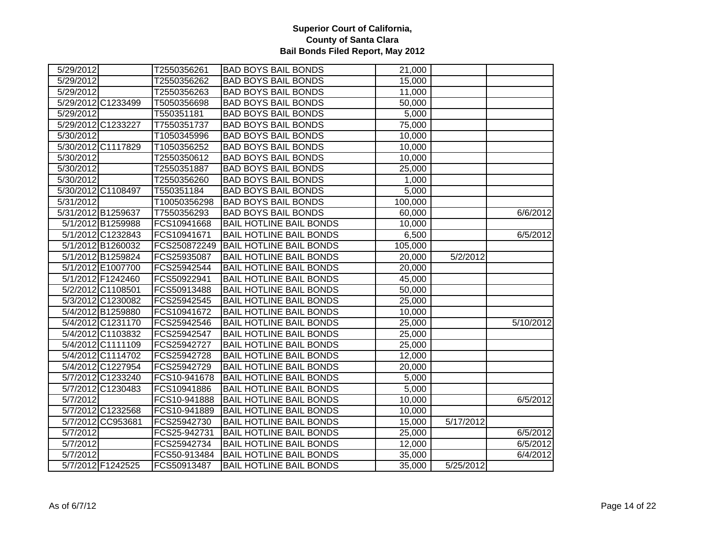| 5/29/2012         |                    | T2550356261  | <b>BAD BOYS BAIL BONDS</b>     | 21,000             |           |           |
|-------------------|--------------------|--------------|--------------------------------|--------------------|-----------|-----------|
| 5/29/2012         |                    | T2550356262  | <b>BAD BOYS BAIL BONDS</b>     | 15,000             |           |           |
| 5/29/2012         |                    | T2550356263  | <b>BAD BOYS BAIL BONDS</b>     | 11,000             |           |           |
|                   | 5/29/2012 C1233499 | T5050356698  | <b>BAD BOYS BAIL BONDS</b>     | 50,000             |           |           |
| 5/29/2012         |                    | T550351181   | <b>BAD BOYS BAIL BONDS</b>     | 5,000              |           |           |
|                   | 5/29/2012 C1233227 | T7550351737  | <b>BAD BOYS BAIL BONDS</b>     | 75,000             |           |           |
| 5/30/2012         |                    | T1050345996  | <b>BAD BOYS BAIL BONDS</b>     | 10,000             |           |           |
|                   | 5/30/2012 C1117829 | T1050356252  | <b>BAD BOYS BAIL BONDS</b>     | 10,000             |           |           |
| 5/30/2012         |                    | T2550350612  | <b>BAD BOYS BAIL BONDS</b>     | 10,000             |           |           |
| 5/30/2012         |                    | T2550351887  | <b>BAD BOYS BAIL BONDS</b>     | 25,000             |           |           |
| 5/30/2012         |                    | T2550356260  | <b>BAD BOYS BAIL BONDS</b>     | 1,000              |           |           |
|                   | 5/30/2012 C1108497 | T550351184   | <b>BAD BOYS BAIL BONDS</b>     | 5,000              |           |           |
| 5/31/2012         |                    | T10050356298 | <b>BAD BOYS BAIL BONDS</b>     | 100,000            |           |           |
|                   | 5/31/2012 B1259637 | T7550356293  | <b>BAD BOYS BAIL BONDS</b>     | 60,000             |           | 6/6/2012  |
|                   | 5/1/2012 B1259988  | FCS10941668  | <b>BAIL HOTLINE BAIL BONDS</b> | 10,000             |           |           |
|                   | 5/1/2012 C1232843  | FCS10941671  | <b>BAIL HOTLINE BAIL BONDS</b> | 6,500              |           | 6/5/2012  |
|                   | 5/1/2012 B1260032  | FCS250872249 | <b>BAIL HOTLINE BAIL BONDS</b> | 105,000            |           |           |
|                   | 5/1/2012 B1259824  | FCS25935087  | <b>BAIL HOTLINE BAIL BONDS</b> | 20,000             | 5/2/2012  |           |
|                   | 5/1/2012 E1007700  | FCS25942544  | <b>BAIL HOTLINE BAIL BONDS</b> | 20,000             |           |           |
|                   | 5/1/2012 F1242460  | FCS50922941  | <b>BAIL HOTLINE BAIL BONDS</b> | 45,000             |           |           |
|                   | 5/2/2012 C1108501  | FCS50913488  | <b>BAIL HOTLINE BAIL BONDS</b> | 50,000             |           |           |
|                   | 5/3/2012 C1230082  | FCS25942545  | <b>BAIL HOTLINE BAIL BONDS</b> | 25,000             |           |           |
|                   | 5/4/2012 B1259880  | FCS10941672  | <b>BAIL HOTLINE BAIL BONDS</b> | 10,000             |           |           |
|                   | 5/4/2012 C1231170  | FCS25942546  | <b>BAIL HOTLINE BAIL BONDS</b> | 25,000             |           | 5/10/2012 |
|                   | 5/4/2012 C1103832  | FCS25942547  | <b>BAIL HOTLINE BAIL BONDS</b> | 25,000             |           |           |
|                   | 5/4/2012 C1111109  | FCS25942727  | <b>BAIL HOTLINE BAIL BONDS</b> | 25,000             |           |           |
|                   | 5/4/2012 C1114702  | FCS25942728  | <b>BAIL HOTLINE BAIL BONDS</b> | 12,000             |           |           |
|                   | 5/4/2012 C1227954  | FCS25942729  | <b>BAIL HOTLINE BAIL BONDS</b> | 20,000             |           |           |
|                   | 5/7/2012 C1233240  | FCS10-941678 | <b>BAIL HOTLINE BAIL BONDS</b> | 5,000              |           |           |
|                   | 5/7/2012 C1230483  | FCS10941886  | <b>BAIL HOTLINE BAIL BONDS</b> | $\overline{5,000}$ |           |           |
| 5/7/2012          |                    | FCS10-941888 | <b>BAIL HOTLINE BAIL BONDS</b> | 10,000             |           | 6/5/2012  |
|                   | 5/7/2012 C1232568  | FCS10-941889 | <b>BAIL HOTLINE BAIL BONDS</b> | 10,000             |           |           |
|                   | 5/7/2012 CC953681  | FCS25942730  | <b>BAIL HOTLINE BAIL BONDS</b> | 15,000             | 5/17/2012 |           |
| 5/7/2012          |                    | FCS25-942731 | <b>BAIL HOTLINE BAIL BONDS</b> | 25,000             |           | 6/5/2012  |
| 5/7/2012          |                    | FCS25942734  | <b>BAIL HOTLINE BAIL BONDS</b> | 12,000             |           | 6/5/2012  |
| $\sqrt{5/7/2012}$ |                    | FCS50-913484 | <b>BAIL HOTLINE BAIL BONDS</b> | 35,000             |           | 6/4/2012  |
|                   | 5/7/2012 F1242525  | FCS50913487  | <b>BAIL HOTLINE BAIL BONDS</b> | 35,000             | 5/25/2012 |           |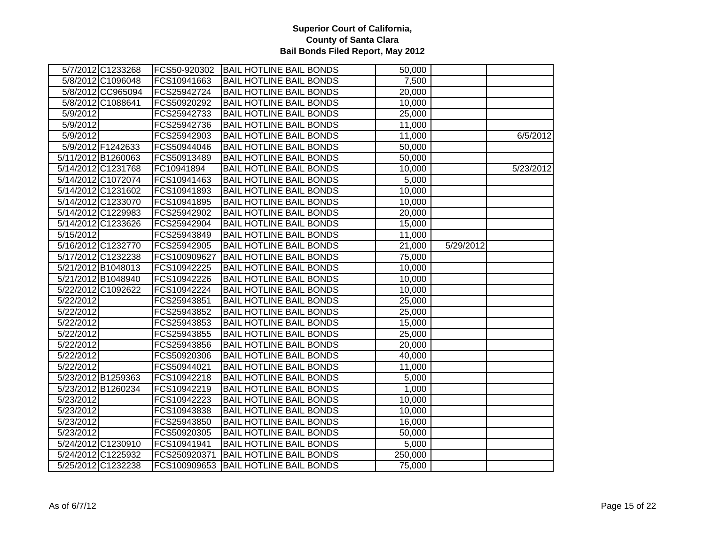|                   | 5/7/2012 C1233268  |              | FCS50-920302   BAIL HOTLINE BAIL BONDS | 50,000  |           |           |
|-------------------|--------------------|--------------|----------------------------------------|---------|-----------|-----------|
|                   | 5/8/2012 C1096048  | FCS10941663  | <b>BAIL HOTLINE BAIL BONDS</b>         | 7,500   |           |           |
|                   | 5/8/2012 CC965094  | FCS25942724  | <b>BAIL HOTLINE BAIL BONDS</b>         | 20,000  |           |           |
|                   | 5/8/2012 C1088641  | FCS50920292  | <b>BAIL HOTLINE BAIL BONDS</b>         | 10,000  |           |           |
| 5/9/2012          |                    | FCS25942733  | <b>BAIL HOTLINE BAIL BONDS</b>         | 25,000  |           |           |
| 5/9/2012          |                    | FCS25942736  | <b>BAIL HOTLINE BAIL BONDS</b>         | 11,000  |           |           |
| $\sqrt{5/9/2012}$ |                    | FCS25942903  | <b>BAIL HOTLINE BAIL BONDS</b>         | 11,000  |           | 6/5/2012  |
|                   | 5/9/2012 F1242633  | FCS50944046  | <b>BAIL HOTLINE BAIL BONDS</b>         | 50,000  |           |           |
|                   | 5/11/2012 B1260063 | FCS50913489  | <b>BAIL HOTLINE BAIL BONDS</b>         | 50,000  |           |           |
|                   | 5/14/2012 C1231768 | FC10941894   | <b>BAIL HOTLINE BAIL BONDS</b>         | 10,000  |           | 5/23/2012 |
|                   | 5/14/2012 C1072074 | FCS10941463  | <b>BAIL HOTLINE BAIL BONDS</b>         | 5,000   |           |           |
|                   | 5/14/2012 C1231602 | FCS10941893  | <b>BAIL HOTLINE BAIL BONDS</b>         | 10,000  |           |           |
|                   | 5/14/2012 C1233070 | FCS10941895  | <b>BAIL HOTLINE BAIL BONDS</b>         | 10,000  |           |           |
|                   | 5/14/2012 C1229983 | FCS25942902  | <b>BAIL HOTLINE BAIL BONDS</b>         | 20,000  |           |           |
|                   | 5/14/2012 C1233626 | FCS25942904  | <b>BAIL HOTLINE BAIL BONDS</b>         | 15,000  |           |           |
| 5/15/2012         |                    | FCS25943849  | <b>BAIL HOTLINE BAIL BONDS</b>         | 11,000  |           |           |
|                   | 5/16/2012 C1232770 | FCS25942905  | <b>BAIL HOTLINE BAIL BONDS</b>         | 21,000  | 5/29/2012 |           |
|                   | 5/17/2012 C1232238 | FCS100909627 | <b>BAIL HOTLINE BAIL BONDS</b>         | 75,000  |           |           |
|                   | 5/21/2012 B1048013 | FCS10942225  | <b>BAIL HOTLINE BAIL BONDS</b>         | 10,000  |           |           |
|                   | 5/21/2012 B1048940 | FCS10942226  | <b>BAIL HOTLINE BAIL BONDS</b>         | 10,000  |           |           |
|                   | 5/22/2012 C1092622 | FCS10942224  | <b>BAIL HOTLINE BAIL BONDS</b>         | 10,000  |           |           |
| 5/22/2012         |                    | FCS25943851  | <b>BAIL HOTLINE BAIL BONDS</b>         | 25,000  |           |           |
| 5/22/2012         |                    | FCS25943852  | <b>BAIL HOTLINE BAIL BONDS</b>         | 25,000  |           |           |
| 5/22/2012         |                    | FCS25943853  | <b>BAIL HOTLINE BAIL BONDS</b>         | 15,000  |           |           |
| 5/22/2012         |                    | FCS25943855  | <b>BAIL HOTLINE BAIL BONDS</b>         | 25,000  |           |           |
| 5/22/2012         |                    | FCS25943856  | <b>BAIL HOTLINE BAIL BONDS</b>         | 20,000  |           |           |
| 5/22/2012         |                    | FCS50920306  | <b>BAIL HOTLINE BAIL BONDS</b>         | 40,000  |           |           |
| 5/22/2012         |                    | FCS50944021  | <b>BAIL HOTLINE BAIL BONDS</b>         | 11,000  |           |           |
|                   | 5/23/2012 B1259363 | FCS10942218  | <b>BAIL HOTLINE BAIL BONDS</b>         | 5,000   |           |           |
|                   | 5/23/2012 B1260234 | FCS10942219  | <b>BAIL HOTLINE BAIL BONDS</b>         | 1,000   |           |           |
| 5/23/2012         |                    | FCS10942223  | <b>BAIL HOTLINE BAIL BONDS</b>         | 10,000  |           |           |
| 5/23/2012         |                    | FCS10943838  | <b>BAIL HOTLINE BAIL BONDS</b>         | 10,000  |           |           |
| 5/23/2012         |                    | FCS25943850  | <b>BAIL HOTLINE BAIL BONDS</b>         | 16,000  |           |           |
| 5/23/2012         |                    | FCS50920305  | <b>BAIL HOTLINE BAIL BONDS</b>         | 50,000  |           |           |
|                   | 5/24/2012 C1230910 | FCS10941941  | <b>BAIL HOTLINE BAIL BONDS</b>         | 5,000   |           |           |
|                   | 5/24/2012 C1225932 | FCS250920371 | <b>BAIL HOTLINE BAIL BONDS</b>         | 250,000 |           |           |
|                   | 5/25/2012 C1232238 | FCS100909653 | <b>BAIL HOTLINE BAIL BONDS</b>         | 75,000  |           |           |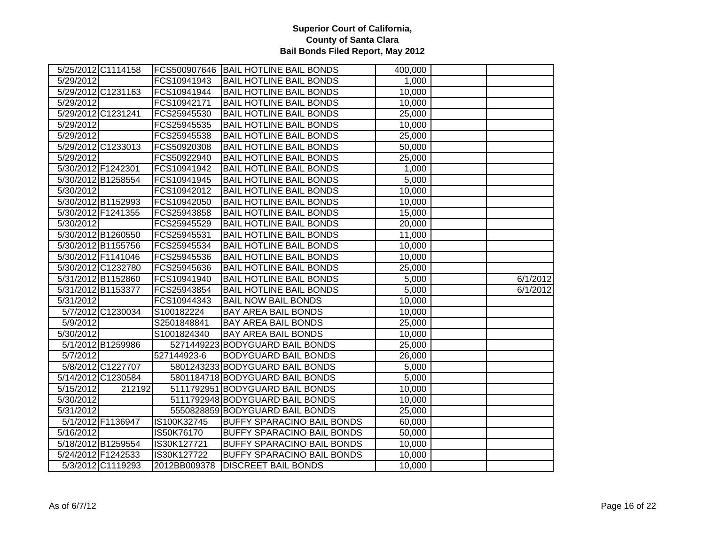|                    | 5/25/2012 C1114158 |              | FCS500907646 BAIL HOTLINE BAIL BONDS | 400,000 |          |
|--------------------|--------------------|--------------|--------------------------------------|---------|----------|
| 5/29/2012          |                    | FCS10941943  | <b>BAIL HOTLINE BAIL BONDS</b>       | 1,000   |          |
|                    | 5/29/2012 C1231163 | FCS10941944  | <b>BAIL HOTLINE BAIL BONDS</b>       | 10,000  |          |
| 5/29/2012          |                    | FCS10942171  | <b>BAIL HOTLINE BAIL BONDS</b>       | 10,000  |          |
|                    | 5/29/2012 C1231241 | FCS25945530  | <b>BAIL HOTLINE BAIL BONDS</b>       | 25,000  |          |
| 5/29/2012          |                    | FCS25945535  | <b>BAIL HOTLINE BAIL BONDS</b>       | 10,000  |          |
| 5/29/2012          |                    | FCS25945538  | <b>BAIL HOTLINE BAIL BONDS</b>       | 25,000  |          |
|                    | 5/29/2012 C1233013 | FCS50920308  | <b>BAIL HOTLINE BAIL BONDS</b>       | 50,000  |          |
| 5/29/2012          |                    | FCS50922940  | <b>BAIL HOTLINE BAIL BONDS</b>       | 25,000  |          |
| 5/30/2012 F1242301 |                    | FCS10941942  | <b>BAIL HOTLINE BAIL BONDS</b>       | 1,000   |          |
|                    | 5/30/2012 B1258554 | FCS10941945  | <b>BAIL HOTLINE BAIL BONDS</b>       | 5,000   |          |
| 5/30/2012          |                    | FCS10942012  | <b>BAIL HOTLINE BAIL BONDS</b>       | 10,000  |          |
|                    | 5/30/2012 B1152993 | FCS10942050  | <b>BAIL HOTLINE BAIL BONDS</b>       | 10,000  |          |
|                    | 5/30/2012 F1241355 | FCS25943858  | <b>BAIL HOTLINE BAIL BONDS</b>       | 15,000  |          |
| 5/30/2012          |                    | FCS25945529  | <b>BAIL HOTLINE BAIL BONDS</b>       | 20,000  |          |
|                    | 5/30/2012 B1260550 | FCS25945531  | <b>BAIL HOTLINE BAIL BONDS</b>       | 11,000  |          |
|                    | 5/30/2012 B1155756 | FCS25945534  | <b>BAIL HOTLINE BAIL BONDS</b>       | 10,000  |          |
|                    | 5/30/2012 F1141046 | FCS25945536  | <b>BAIL HOTLINE BAIL BONDS</b>       | 10,000  |          |
|                    | 5/30/2012 C1232780 | FCS25945636  | <b>BAIL HOTLINE BAIL BONDS</b>       | 25,000  |          |
|                    | 5/31/2012 B1152860 | FCS10941940  | <b>BAIL HOTLINE BAIL BONDS</b>       | 5,000   | 6/1/2012 |
|                    | 5/31/2012 B1153377 | FCS25943854  | <b>BAIL HOTLINE BAIL BONDS</b>       | 5,000   | 6/1/2012 |
| 5/31/2012          |                    | FCS10944343  | <b>BAIL NOW BAIL BONDS</b>           | 10,000  |          |
|                    | 5/7/2012 C1230034  | S100182224   | <b>BAY AREA BAIL BONDS</b>           | 10,000  |          |
| 5/9/2012           |                    | S2501848841  | <b>BAY AREA BAIL BONDS</b>           | 25,000  |          |
| 5/30/2012          |                    | S1001824340  | <b>BAY AREA BAIL BONDS</b>           | 10,000  |          |
|                    | 5/1/2012 B1259986  |              | 5271449223 BODYGUARD BAIL BONDS      | 25,000  |          |
| 5/7/2012           |                    | 527144923-6  | <b>BODYGUARD BAIL BONDS</b>          | 26,000  |          |
|                    | 5/8/2012 C1227707  |              | 5801243233 BODYGUARD BAIL BONDS      | 5,000   |          |
|                    | 5/14/2012 C1230584 |              | 5801184718 BODYGUARD BAIL BONDS      | 5,000   |          |
| 5/15/2012          | 212192             |              | 5111792951 BODYGUARD BAIL BONDS      | 10,000  |          |
| 5/30/2012          |                    |              | 5111792948 BODYGUARD BAIL BONDS      | 10,000  |          |
| 5/31/2012          |                    |              | 5550828859 BODYGUARD BAIL BONDS      | 25,000  |          |
|                    | 5/1/2012 F1136947  | IS100K32745  | <b>BUFFY SPARACINO BAIL BONDS</b>    | 60,000  |          |
| 5/16/2012          |                    | IS50K76170   | <b>BUFFY SPARACINO BAIL BONDS</b>    | 50,000  |          |
|                    | 5/18/2012 B1259554 | IS30K127721  | <b>BUFFY SPARACINO BAIL BONDS</b>    | 10,000  |          |
|                    | 5/24/2012 F1242533 | IS30K127722  | <b>BUFFY SPARACINO BAIL BONDS</b>    | 10,000  |          |
|                    | 5/3/2012 C1119293  | 2012BB009378 | <b>DISCREET BAIL BONDS</b>           | 10,000  |          |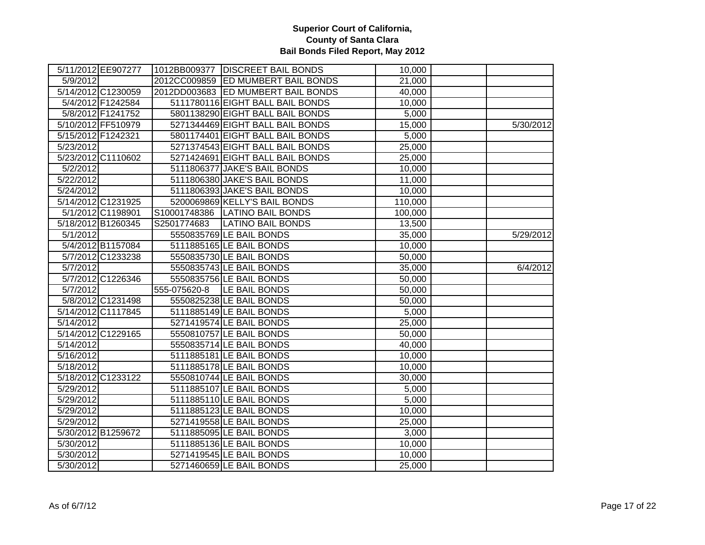|                    | 5/11/2012 EE907277 |              | 1012BB009377   DISCREET BAIL BONDS | 10,000  |           |
|--------------------|--------------------|--------------|------------------------------------|---------|-----------|
| 5/9/2012           |                    |              | 2012CC009859 ED MUMBERT BAIL BONDS | 21,000  |           |
|                    | 5/14/2012 C1230059 |              | 2012DD003683 ED MUMBERT BAIL BONDS | 40,000  |           |
|                    | 5/4/2012 F1242584  |              | 5111780116 EIGHT BALL BAIL BONDS   | 10,000  |           |
|                    | 5/8/2012 F1241752  |              | 5801138290 EIGHT BALL BAIL BONDS   | 5,000   |           |
|                    | 5/10/2012 FF510979 |              | 5271344469 EIGHT BALL BAIL BONDS   | 15,000  | 5/30/2012 |
| 5/15/2012 F1242321 |                    |              | 5801174401 EIGHT BALL BAIL BONDS   | 5,000   |           |
| 5/23/2012          |                    |              | 5271374543 EIGHT BALL BAIL BONDS   | 25,000  |           |
|                    | 5/23/2012 C1110602 |              | 5271424691 EIGHT BALL BAIL BONDS   | 25,000  |           |
| 5/2/2012           |                    |              | 5111806377 JAKE'S BAIL BONDS       | 10,000  |           |
| 5/22/2012          |                    |              | 5111806380 JAKE'S BAIL BONDS       | 11,000  |           |
| 5/24/2012          |                    |              | 5111806393 JAKE'S BAIL BONDS       | 10,000  |           |
|                    | 5/14/2012 C1231925 |              | 5200069869 KELLY'S BAIL BONDS      | 110,000 |           |
|                    | 5/1/2012 C1198901  |              | S10001748386 LATINO BAIL BONDS     | 100,000 |           |
|                    | 5/18/2012 B1260345 | S2501774683  | <b>LATINO BAIL BONDS</b>           | 13,500  |           |
| 5/1/2012           |                    |              | 5550835769 LE BAIL BONDS           | 35,000  | 5/29/2012 |
|                    | 5/4/2012 B1157084  |              | 5111885165 LE BAIL BONDS           | 10,000  |           |
|                    | 5/7/2012 C1233238  |              | 5550835730 LE BAIL BONDS           | 50,000  |           |
| 5/7/2012           |                    |              | 5550835743 LE BAIL BONDS           | 35,000  | 6/4/2012  |
|                    | 5/7/2012 C1226346  |              | 5550835756 LE BAIL BONDS           | 50,000  |           |
| 5/7/2012           |                    | 555-075620-8 | LE BAIL BONDS                      | 50,000  |           |
|                    | 5/8/2012 C1231498  |              | 5550825238 LE BAIL BONDS           | 50,000  |           |
|                    | 5/14/2012 C1117845 |              | 5111885149 LE BAIL BONDS           | 5,000   |           |
| 5/14/2012          |                    |              | 5271419574 LE BAIL BONDS           | 25,000  |           |
|                    | 5/14/2012 C1229165 |              | 5550810757 LE BAIL BONDS           | 50,000  |           |
| 5/14/2012          |                    |              | 5550835714 LE BAIL BONDS           | 40,000  |           |
| 5/16/2012          |                    |              | 5111885181 LE BAIL BONDS           | 10,000  |           |
| 5/18/2012          |                    |              | 5111885178 LE BAIL BONDS           | 10,000  |           |
|                    | 5/18/2012 C1233122 |              | 5550810744 LE BAIL BONDS           | 30,000  |           |
| 5/29/2012          |                    |              | 5111885107 LE BAIL BONDS           | 5,000   |           |
| 5/29/2012          |                    |              | 5111885110 LE BAIL BONDS           | 5,000   |           |
| 5/29/2012          |                    |              | 5111885123 LE BAIL BONDS           | 10,000  |           |
| 5/29/2012          |                    |              | 5271419558 LE BAIL BONDS           | 25,000  |           |
|                    | 5/30/2012 B1259672 |              | 5111885095 LE BAIL BONDS           | 3,000   |           |
| 5/30/2012          |                    |              | 5111885136 LE BAIL BONDS           | 10,000  |           |
| 5/30/2012          |                    |              | 5271419545 LE BAIL BONDS           | 10,000  |           |
| 5/30/2012          |                    |              | 5271460659 LE BAIL BONDS           | 25,000  |           |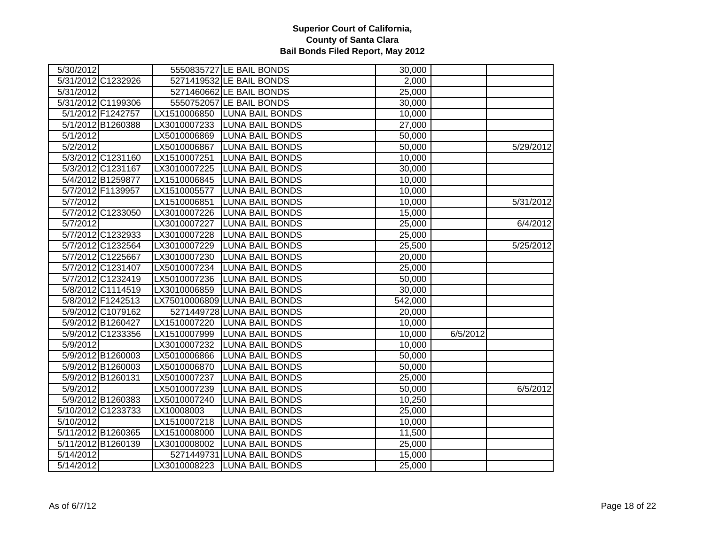| 5/30/2012         |                    |              | 5550835727 LE BAIL BONDS      | 30,000  |          |           |
|-------------------|--------------------|--------------|-------------------------------|---------|----------|-----------|
|                   | 5/31/2012 C1232926 |              | 5271419532 LE BAIL BONDS      | 2,000   |          |           |
| 5/31/2012         |                    |              | 5271460662 LE BAIL BONDS      | 25,000  |          |           |
|                   | 5/31/2012 C1199306 |              | 5550752057 LE BAIL BONDS      | 30,000  |          |           |
|                   | 5/1/2012 F1242757  | LX1510006850 | <b>LUNA BAIL BONDS</b>        | 10,000  |          |           |
|                   | 5/1/2012 B1260388  | LX3010007233 | <b>LUNA BAIL BONDS</b>        | 27,000  |          |           |
| $\sqrt{5/1/2012}$ |                    | LX5010006869 | <b>LUNA BAIL BONDS</b>        | 50,000  |          |           |
| 5/2/2012          |                    |              | LX5010006867 LUNA BAIL BONDS  | 50,000  |          | 5/29/2012 |
|                   | 5/3/2012 C1231160  | LX1510007251 | <b>LUNA BAIL BONDS</b>        | 10,000  |          |           |
|                   | 5/3/2012 C1231167  | LX3010007225 | <b>LUNA BAIL BONDS</b>        | 30,000  |          |           |
|                   | 5/4/2012 B1259877  | LX1510006845 | <b>LUNA BAIL BONDS</b>        | 10,000  |          |           |
|                   | 5/7/2012 F1139957  | LX1510005577 | <b>LUNA BAIL BONDS</b>        | 10,000  |          |           |
| 5/7/2012          |                    | LX1510006851 | <b>LUNA BAIL BONDS</b>        | 10,000  |          | 5/31/2012 |
|                   | 5/7/2012 C1233050  | LX3010007226 | <b>LUNA BAIL BONDS</b>        | 15,000  |          |           |
| 5/7/2012          |                    | LX3010007227 | <b>LUNA BAIL BONDS</b>        | 25,000  |          | 6/4/2012  |
|                   | 5/7/2012 C1232933  | LX3010007228 | <b>LUNA BAIL BONDS</b>        | 25,000  |          |           |
|                   | 5/7/2012 C1232564  | LX3010007229 | <b>LUNA BAIL BONDS</b>        | 25,500  |          | 5/25/2012 |
|                   | 5/7/2012 C1225667  | LX3010007230 | <b>LUNA BAIL BONDS</b>        | 20,000  |          |           |
|                   | 5/7/2012 C1231407  | LX5010007234 | <b>LUNA BAIL BONDS</b>        | 25,000  |          |           |
|                   | 5/7/2012 C1232419  | LX5010007236 | <b>LUNA BAIL BONDS</b>        | 50,000  |          |           |
|                   | 5/8/2012 C1114519  | LX3010006859 | <b>LUNA BAIL BONDS</b>        | 30,000  |          |           |
|                   | 5/8/2012 F1242513  |              | LX75010006809 LUNA BAIL BONDS | 542,000 |          |           |
|                   | 5/9/2012 C1079162  |              | 5271449728 LUNA BAIL BONDS    | 20,000  |          |           |
|                   | 5/9/2012 B1260427  |              | LX1510007220 LUNA BAIL BONDS  | 10,000  |          |           |
|                   | 5/9/2012 C1233356  |              | LX1510007999 LUNA BAIL BONDS  | 10,000  | 6/5/2012 |           |
| 5/9/2012          |                    | LX3010007232 | <b>LUNA BAIL BONDS</b>        | 10,000  |          |           |
|                   | 5/9/2012 B1260003  | LX5010006866 | <b>LUNA BAIL BONDS</b>        | 50,000  |          |           |
|                   | 5/9/2012 B1260003  | LX5010006870 | <b>LUNA BAIL BONDS</b>        | 50,000  |          |           |
|                   | 5/9/2012 B1260131  | LX5010007237 | <b>LUNA BAIL BONDS</b>        | 25,000  |          |           |
| 5/9/2012          |                    | LX5010007239 | <b>LUNA BAIL BONDS</b>        | 50,000  |          | 6/5/2012  |
|                   | 5/9/2012 B1260383  | LX5010007240 | <b>LUNA BAIL BONDS</b>        | 10,250  |          |           |
|                   | 5/10/2012 C1233733 | LX10008003   | <b>LUNA BAIL BONDS</b>        | 25,000  |          |           |
| 5/10/2012         |                    | LX1510007218 | <b>LUNA BAIL BONDS</b>        | 10,000  |          |           |
|                   | 5/11/2012 B1260365 | LX1510008000 | <b>LUNA BAIL BONDS</b>        | 11,500  |          |           |
|                   | 5/11/2012 B1260139 | LX3010008002 | <b>LUNA BAIL BONDS</b>        | 25,000  |          |           |
| 5/14/2012         |                    |              | 5271449731 LUNA BAIL BONDS    | 15,000  |          |           |
| 5/14/2012         |                    |              | LX3010008223 LUNA BAIL BONDS  | 25,000  |          |           |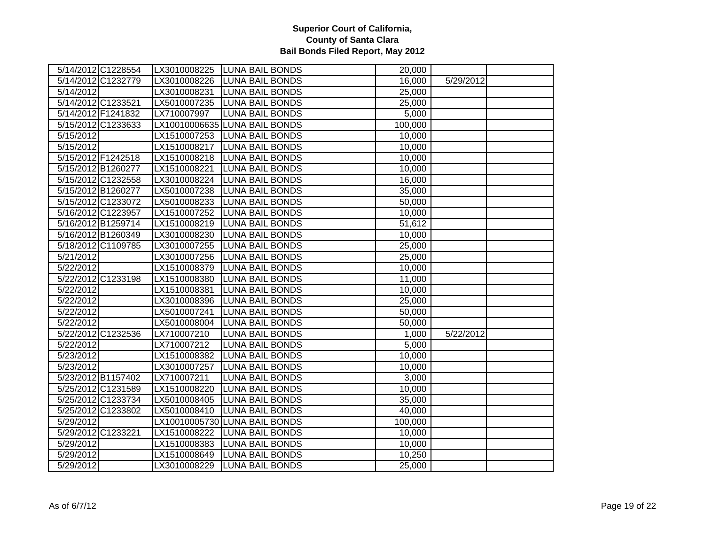|           | 5/14/2012 C1228554 |              | LX3010008225 LUNA BAIL BONDS  | 20,000  |           |  |
|-----------|--------------------|--------------|-------------------------------|---------|-----------|--|
|           | 5/14/2012 C1232779 | LX3010008226 | <b>LUNA BAIL BONDS</b>        | 16,000  | 5/29/2012 |  |
| 5/14/2012 |                    | LX3010008231 | <b>LUNA BAIL BONDS</b>        | 25,000  |           |  |
|           | 5/14/2012 C1233521 | LX5010007235 | <b>LUNA BAIL BONDS</b>        | 25,000  |           |  |
|           | 5/14/2012 F1241832 | LX710007997  | <b>LUNA BAIL BONDS</b>        | 5,000   |           |  |
|           | 5/15/2012 C1233633 |              | LX10010006635 LUNA BAIL BONDS | 100,000 |           |  |
| 5/15/2012 |                    |              | LX1510007253 LUNA BAIL BONDS  | 10,000  |           |  |
| 5/15/2012 |                    |              | LX1510008217 LUNA BAIL BONDS  | 10,000  |           |  |
|           | 5/15/2012 F1242518 |              | LX1510008218 LUNA BAIL BONDS  | 10,000  |           |  |
|           | 5/15/2012 B1260277 | LX1510008221 | <b>LUNA BAIL BONDS</b>        | 10,000  |           |  |
|           | 5/15/2012 C1232558 | LX3010008224 | <b>LUNA BAIL BONDS</b>        | 16,000  |           |  |
|           | 5/15/2012 B1260277 | LX5010007238 | <b>LUNA BAIL BONDS</b>        | 35,000  |           |  |
|           | 5/15/2012 C1233072 | LX5010008233 | <b>LUNA BAIL BONDS</b>        | 50,000  |           |  |
|           | 5/16/2012 C1223957 | LX1510007252 | <b>LUNA BAIL BONDS</b>        | 10,000  |           |  |
|           | 5/16/2012 B1259714 | LX1510008219 | <b>LUNA BAIL BONDS</b>        | 51,612  |           |  |
|           | 5/16/2012 B1260349 | LX3010008230 | <b>LUNA BAIL BONDS</b>        | 10,000  |           |  |
|           | 5/18/2012 C1109785 | LX3010007255 | <b>LUNA BAIL BONDS</b>        | 25,000  |           |  |
| 5/21/2012 |                    | LX3010007256 | <b>LUNA BAIL BONDS</b>        | 25,000  |           |  |
| 5/22/2012 |                    | LX1510008379 | <b>LUNA BAIL BONDS</b>        | 10,000  |           |  |
|           | 5/22/2012 C1233198 | LX1510008380 | <b>LUNA BAIL BONDS</b>        | 11,000  |           |  |
| 5/22/2012 |                    | LX1510008381 | <b>LUNA BAIL BONDS</b>        | 10,000  |           |  |
| 5/22/2012 |                    | LX3010008396 | <b>LUNA BAIL BONDS</b>        | 25,000  |           |  |
| 5/22/2012 |                    | LX5010007241 | <b>LUNA BAIL BONDS</b>        | 50,000  |           |  |
| 5/22/2012 |                    | LX5010008004 | <b>LUNA BAIL BONDS</b>        | 50,000  |           |  |
|           | 5/22/2012 C1232536 | LX710007210  | <b>LUNA BAIL BONDS</b>        | 1,000   | 5/22/2012 |  |
| 5/22/2012 |                    | LX710007212  | <b>LUNA BAIL BONDS</b>        | 5,000   |           |  |
| 5/23/2012 |                    | LX1510008382 | <b>LUNA BAIL BONDS</b>        | 10,000  |           |  |
| 5/23/2012 |                    | LX3010007257 | <b>LUNA BAIL BONDS</b>        | 10,000  |           |  |
|           | 5/23/2012 B1157402 | LX710007211  | <b>LUNA BAIL BONDS</b>        | 3,000   |           |  |
|           | 5/25/2012 C1231589 | LX1510008220 | <b>LUNA BAIL BONDS</b>        | 10,000  |           |  |
|           | 5/25/2012 C1233734 | LX5010008405 | <b>LUNA BAIL BONDS</b>        | 35,000  |           |  |
|           | 5/25/2012 C1233802 | LX5010008410 | <b>LUNA BAIL BONDS</b>        | 40,000  |           |  |
| 5/29/2012 |                    |              | LX10010005730 LUNA BAIL BONDS | 100,000 |           |  |
|           | 5/29/2012 C1233221 |              | LX1510008222 LUNA BAIL BONDS  | 10,000  |           |  |
| 5/29/2012 |                    | LX1510008383 | <b>LUNA BAIL BONDS</b>        | 10,000  |           |  |
| 5/29/2012 |                    | LX1510008649 | <b>LUNA BAIL BONDS</b>        | 10,250  |           |  |
| 5/29/2012 |                    | LX3010008229 | <b>LUNA BAIL BONDS</b>        | 25,000  |           |  |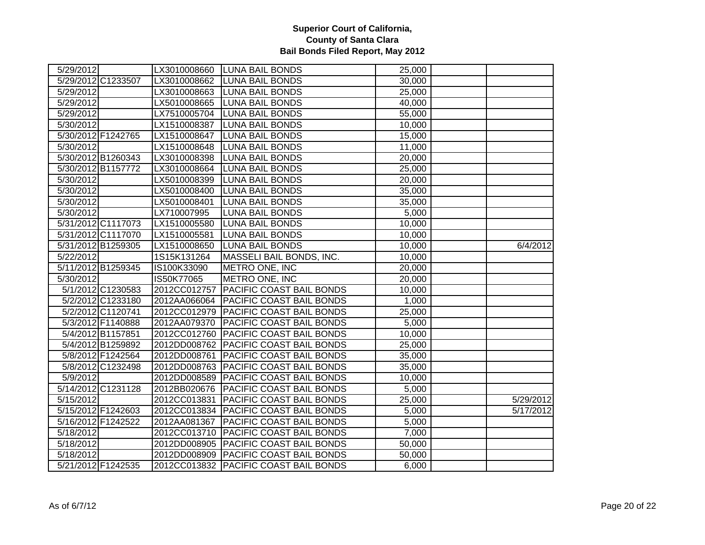| 5/29/2012              |              | LX3010008660 LUNA BAIL BONDS            | 25,000 |           |
|------------------------|--------------|-----------------------------------------|--------|-----------|
| 5/29/2012 C1233507     |              | LX3010008662 LUNA BAIL BONDS            | 30,000 |           |
| 5/29/2012              | LX3010008663 | <b>LUNA BAIL BONDS</b>                  | 25,000 |           |
| 5/29/2012              | LX5010008665 | <b>LUNA BAIL BONDS</b>                  | 40,000 |           |
| 5/29/2012              | LX7510005704 | <b>LUNA BAIL BONDS</b>                  | 55,000 |           |
| 5/30/2012              | LX1510008387 | <b>LUNA BAIL BONDS</b>                  | 10,000 |           |
| 5/30/2012 F1242765     | LX1510008647 | <b>LUNA BAIL BONDS</b>                  | 15,000 |           |
| 5/30/2012              | LX1510008648 | <b>LUNA BAIL BONDS</b>                  | 11,000 |           |
| 5/30/2012 B1260343     | LX3010008398 | <b>LUNA BAIL BONDS</b>                  | 20,000 |           |
| 5/30/2012 B1157772     | LX3010008664 | <b>LUNA BAIL BONDS</b>                  | 25,000 |           |
| $\overline{5/30/2012}$ | LX5010008399 | <b>LUNA BAIL BONDS</b>                  | 20,000 |           |
| 5/30/2012              | LX5010008400 | <b>LUNA BAIL BONDS</b>                  | 35,000 |           |
| 5/30/2012              | LX5010008401 | <b>LUNA BAIL BONDS</b>                  | 35,000 |           |
| 5/30/2012              | LX710007995  | <b>LUNA BAIL BONDS</b>                  | 5,000  |           |
| 5/31/2012 C1117073     | LX1510005580 | <b>LUNA BAIL BONDS</b>                  | 10,000 |           |
| 5/31/2012 C1117070     | LX1510005581 | <b>LUNA BAIL BONDS</b>                  | 10,000 |           |
| 5/31/2012 B1259305     | LX1510008650 | <b>LUNA BAIL BONDS</b>                  | 10,000 | 6/4/2012  |
| 5/22/2012              | 1S15K131264  | MASSELI BAIL BONDS, INC.                | 10,000 |           |
| 5/11/2012 B1259345     | IS100K33090  | <b>METRO ONE, INC</b>                   | 20,000 |           |
| 5/30/2012              | IS50K77065   | METRO ONE, INC                          | 20,000 |           |
| 5/1/2012 C1230583      | 2012CC012757 | PACIFIC COAST BAIL BONDS                | 10,000 |           |
| 5/2/2012 C1233180      | 2012AA066064 | PACIFIC COAST BAIL BONDS                | 1,000  |           |
| 5/2/2012 C1120741      |              | 2012CC012979   PACIFIC COAST BAIL BONDS | 25,000 |           |
| 5/3/2012 F1140888      | 2012AA079370 | PACIFIC COAST BAIL BONDS                | 5,000  |           |
| 5/4/2012 B1157851      |              | 2012CC012760   PACIFIC COAST BAIL BONDS | 10,000 |           |
| 5/4/2012 B1259892      |              | 2012DD008762 PACIFIC COAST BAIL BONDS   | 25,000 |           |
| 5/8/2012 F1242564      | 2012DD008761 | <b>PACIFIC COAST BAIL BONDS</b>         | 35,000 |           |
| 5/8/2012 C1232498      |              | 2012DD008763 PACIFIC COAST BAIL BONDS   | 35,000 |           |
| 5/9/2012               |              | 2012DD008589 PACIFIC COAST BAIL BONDS   | 10,000 |           |
| 5/14/2012 C1231128     | 2012BB020676 | <b>PACIFIC COAST BAIL BONDS</b>         | 5,000  |           |
| 5/15/2012              | 2012CC013831 | <b>PACIFIC COAST BAIL BONDS</b>         | 25,000 | 5/29/2012 |
| 5/15/2012 F1242603     |              | 2012CC013834 PACIFIC COAST BAIL BONDS   | 5,000  | 5/17/2012 |
| 5/16/2012 F1242522     | 2012AA081367 | PACIFIC COAST BAIL BONDS                | 5,000  |           |
| 5/18/2012              |              | 2012CC013710 PACIFIC COAST BAIL BONDS   | 7,000  |           |
| 5/18/2012              |              | 2012DD008905 PACIFIC COAST BAIL BONDS   | 50,000 |           |
| 5/18/2012              |              | 2012DD008909 PACIFIC COAST BAIL BONDS   | 50,000 |           |
| 5/21/2012 F1242535     |              | 2012CC013832 PACIFIC COAST BAIL BONDS   | 6,000  |           |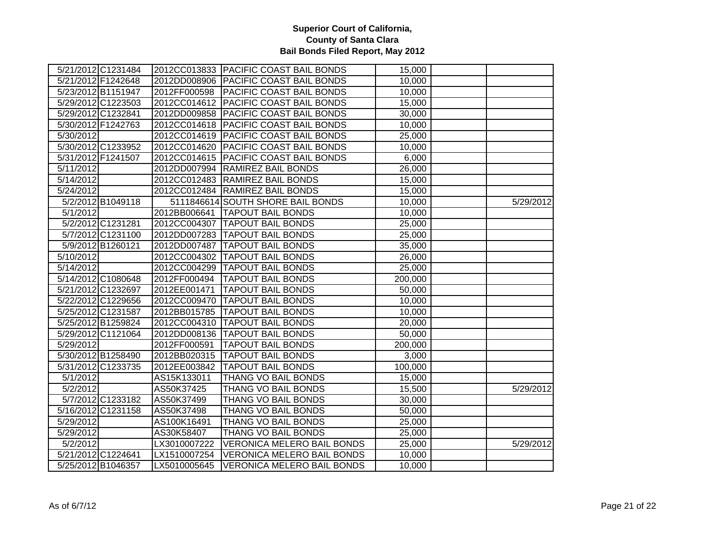|                        | 5/21/2012 C1231484 |              | 2012CC013833 PACIFIC COAST BAIL BONDS   | 15,000              |           |
|------------------------|--------------------|--------------|-----------------------------------------|---------------------|-----------|
|                        | 5/21/2012 F1242648 |              | 2012DD008906 PACIFIC COAST BAIL BONDS   | 10,000              |           |
|                        | 5/23/2012 B1151947 | 2012FF000598 | <b>PACIFIC COAST BAIL BONDS</b>         | 10,000              |           |
|                        | 5/29/2012 C1223503 |              | 2012CC014612 PACIFIC COAST BAIL BONDS   | 15,000              |           |
|                        | 5/29/2012 C1232841 |              | 2012DD009858   PACIFIC COAST BAIL BONDS | 30,000              |           |
|                        | 5/30/2012 F1242763 |              | 2012CC014618 PACIFIC COAST BAIL BONDS   | 10,000              |           |
| $\overline{5/30/2012}$ |                    |              | 2012CC014619 PACIFIC COAST BAIL BONDS   | 25,000              |           |
|                        | 5/30/2012 C1233952 |              | 2012CC014620 PACIFIC COAST BAIL BONDS   | 10,000              |           |
|                        | 5/31/2012 F1241507 |              | 2012CC014615   PACIFIC COAST BAIL BONDS | 6,000               |           |
| 5/11/2012              |                    |              | 2012DD007994 RAMIREZ BAIL BONDS         | 26,000              |           |
| 5/14/2012              |                    |              | 2012CC012483 RAMIREZ BAIL BONDS         | 15,000              |           |
| 5/24/2012              |                    |              | 2012CC012484 RAMIREZ BAIL BONDS         | 15,000              |           |
|                        | 5/2/2012 B1049118  |              | 5111846614 SOUTH SHORE BAIL BONDS       | 10,000              | 5/29/2012 |
| 5/1/2012               |                    |              | 2012BB006641   TAPOUT BAIL BONDS        | 10,000              |           |
|                        | 5/2/2012 C1231281  | 2012CC004307 | <b>TAPOUT BAIL BONDS</b>                | 25,000              |           |
|                        | 5/7/2012 C1231100  |              | 2012DD007283   TAPOUT BAIL BONDS        | 25,000              |           |
|                        | 5/9/2012 B1260121  |              | 2012DD007487 TAPOUT BAIL BONDS          | 35,000              |           |
| 5/10/2012              |                    | 2012CC004302 | <b>TAPOUT BAIL BONDS</b>                | 26,000              |           |
| 5/14/2012              |                    |              | 2012CC004299 TAPOUT BAIL BONDS          | 25,000              |           |
|                        | 5/14/2012 C1080648 | 2012FF000494 | <b>TAPOUT BAIL BONDS</b>                | 200,000             |           |
|                        | 5/21/2012 C1232697 | 2012EE001471 | <b>TAPOUT BAIL BONDS</b>                | 50,000              |           |
|                        | 5/22/2012 C1229656 |              | 2012CC009470  TAPOUT BAIL BONDS         | 10,000              |           |
|                        | 5/25/2012 C1231587 |              | 2012BB015785   TAPOUT BAIL BONDS        | 10,000              |           |
|                        | 5/25/2012 B1259824 |              | 2012CC004310 TAPOUT BAIL BONDS          | 20,000              |           |
|                        | 5/29/2012 C1121064 |              | 2012DD008136  TAPOUT BAIL BONDS         | 50,000              |           |
| 5/29/2012              |                    | 2012FF000591 | <b>TAPOUT BAIL BONDS</b>                | 200,000             |           |
|                        | 5/30/2012 B1258490 |              | 2012BB020315  TAPOUT BAIL BONDS         | 3,000               |           |
|                        | 5/31/2012 C1233735 | 2012EE003842 | <b>TAPOUT BAIL BONDS</b>                | 100,000             |           |
| 5/1/2012               |                    | AS15K133011  | THANG VO BAIL BONDS                     | 15,000              |           |
| 5/2/2012               |                    | AS50K37425   | <b>THANG VO BAIL BONDS</b>              | 15,500              | 5/29/2012 |
|                        | 5/7/2012 C1233182  | AS50K37499   | <b>THANG VO BAIL BONDS</b>              | 30,000              |           |
|                        | 5/16/2012 C1231158 | AS50K37498   | <b>THANG VO BAIL BONDS</b>              | $\overline{50,000}$ |           |
| 5/29/2012              |                    | AS100K16491  | THANG VO BAIL BONDS                     | 25,000              |           |
| 5/29/2012              |                    | AS30K58407   | THANG VO BAIL BONDS                     | 25,000              |           |
| 5/2/2012               |                    | LX3010007222 | <b>VERONICA MELERO BAIL BONDS</b>       | 25,000              | 5/29/2012 |
|                        | 5/21/2012 C1224641 | LX1510007254 | <b>VERONICA MELERO BAIL BONDS</b>       | 10,000              |           |
|                        | 5/25/2012 B1046357 | LX5010005645 | <b>VERONICA MELERO BAIL BONDS</b>       | 10,000              |           |